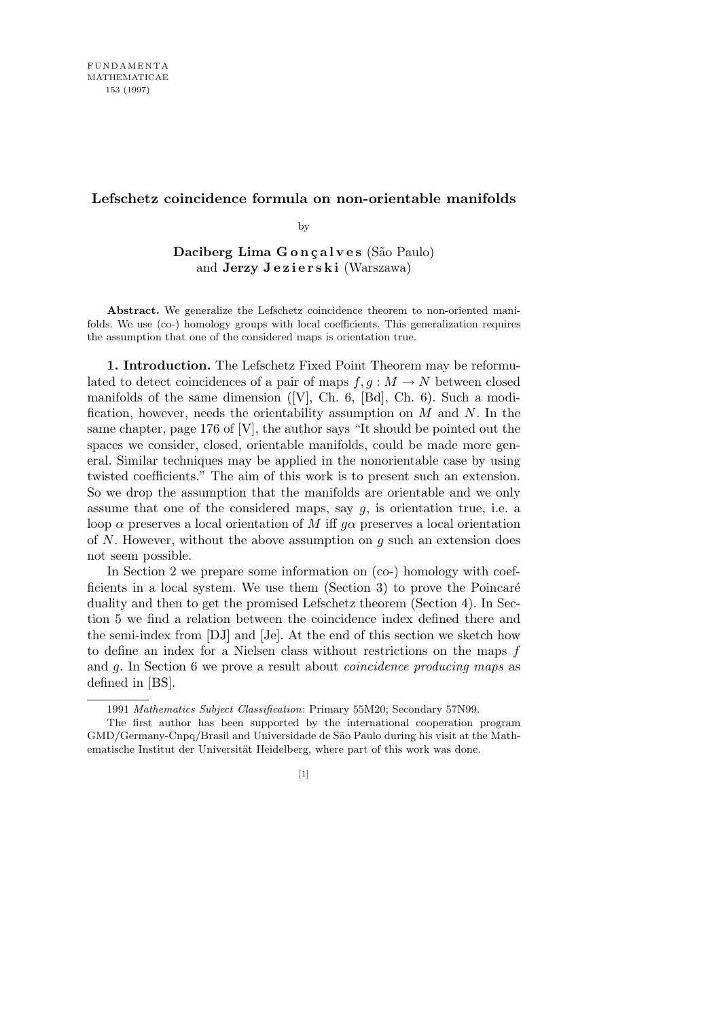## **Lefschetz coincidence formula on non-orientable manifolds**

by

Daciberg Lima Gonçalves (São Paulo) and **Jerzy Jezierski** (Warszawa)

**Abstract.** We generalize the Lefschetz coincidence theorem to non-oriented manifolds. We use (co-) homology groups with local coefficients. This generalization requires the assumption that one of the considered maps is orientation true.

**1. Introduction.** The Lefschetz Fixed Point Theorem may be reformulated to detect coincidences of a pair of maps  $f, g : M \to N$  between closed manifolds of the same dimension ([V], Ch. 6, [Bd], Ch. 6). Such a modification, however, needs the orientability assumption on *M* and *N*. In the same chapter, page 176 of [V], the author says "It should be pointed out the spaces we consider, closed, orientable manifolds, could be made more general. Similar techniques may be applied in the nonorientable case by using twisted coefficients." The aim of this work is to present such an extension. So we drop the assumption that the manifolds are orientable and we only assume that one of the considered maps, say *g*, is orientation true, i.e. a loop  $\alpha$  preserves a local orientation of *M* iff  $q\alpha$  preserves a local orientation of *N*. However, without the above assumption on *g* such an extension does not seem possible.

In Section 2 we prepare some information on (co-) homology with coefficients in a local system. We use them  $(Section 3)$  to prove the Poincaré duality and then to get the promised Lefschetz theorem (Section 4). In Section 5 we find a relation between the coincidence index defined there and the semi-index from [DJ] and [Je]. At the end of this section we sketch how to define an index for a Nielsen class without restrictions on the maps *f* and *g*. In Section 6 we prove a result about *coincidence producing maps* as defined in [BS].

<sup>1991</sup> *Mathematics Subject Classification*: Primary 55M20; Secondary 57N99.

The first author has been supported by the international cooperation program GMD/Germany-Cnpq/Brasil and Universidade de S˜ao Paulo during his visit at the Mathematische Institut der Universität Heidelberg, where part of this work was done.

<sup>[1]</sup>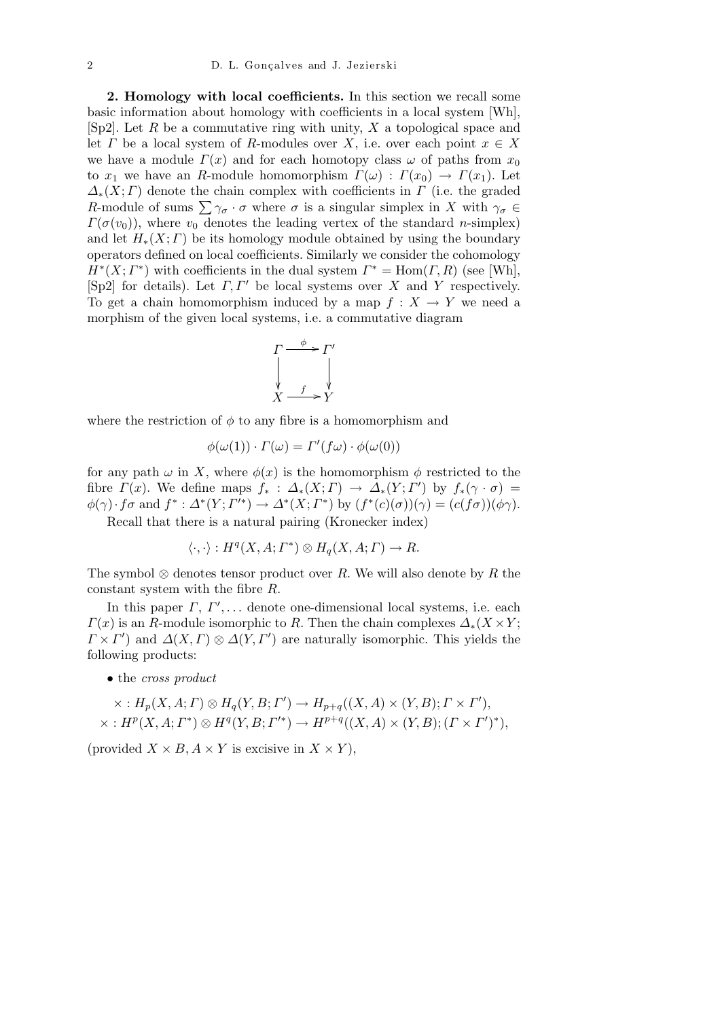**2. Homology with local coefficients.** In this section we recall some basic information about homology with coefficients in a local system [Wh], [Sp2]. Let *R* be a commutative ring with unity, *X* a topological space and let *Γ* be a local system of *R*-modules over *X*, i.e. over each point  $x \in X$ we have a module  $\Gamma(x)$  and for each homotopy class  $\omega$  of paths from  $x_0$ to  $x_1$  we have an *R*-module homomorphism  $\Gamma(\omega): \Gamma(x_0) \to \Gamma(x_1)$ . Let  $\Delta_*(X; \Gamma)$  denote the chain complex with coefficients in  $\Gamma$  (i.e. the graded *R*-module of sums  $\sum \gamma_{\sigma} \cdot \sigma$  where  $\sigma$  is a singular simplex in *X* with  $\gamma_{\sigma} \in$  $\Gamma(\sigma(v_0))$ , where  $v_0$  denotes the leading vertex of the standard *n*-simplex) and let  $H_*(X; \Gamma)$  be its homology module obtained by using the boundary operators defined on local coefficients. Similarly we consider the cohomology  $H^*(X; \Gamma^*)$  with coefficients in the dual system  $\Gamma^* = \text{Hom}(\Gamma, R)$  (see [Wh], [Sp2] for details). Let *Γ, Γ<sup>0</sup>* be local systems over *X* and *Y* respectively. To get a chain homomorphism induced by a map  $f: X \to Y$  we need a morphism of the given local systems, i.e. a commutative diagram



where the restriction of  $\phi$  to any fibre is a homomorphism and

$$
\phi(\omega(1)) \cdot \Gamma(\omega) = \Gamma'(f\omega) \cdot \phi(\omega(0))
$$

for any path  $\omega$  in X, where  $\phi(x)$  is the homomorphism  $\phi$  restricted to the fibre  $\Gamma(x)$ . We define maps  $f_*$ :  $\Delta_*(X; \Gamma) \rightarrow \Delta_*(Y; \Gamma')$  by  $f_*(\gamma \cdot \sigma) =$  $\phi(\gamma) \cdot f\sigma$  and  $f^* : \Delta^*(Y; \Gamma'^*) \to \Delta^*(X; \Gamma^*)$  by  $(f^*(c)(\sigma))(\gamma) = (c(f\sigma))(\phi\gamma)$ .

Recall that there is a natural pairing (Kronecker index)

$$
\langle \cdot, \cdot \rangle : H^q(X, A; \Gamma^*) \otimes H_q(X, A; \Gamma) \to R.
$$

The symbol *⊗* denotes tensor product over *R*. We will also denote by *R* the constant system with the fibre *R*.

In this paper  $\Gamma$ ,  $\Gamma'$ , ... denote one-dimensional local systems, i.e. each  $\Gamma(x)$  is an *R*-module isomorphic to *R*. Then the chain complexes  $\Delta_*(X \times Y)$ ;  $\Gamma \times \Gamma'$  and  $\Delta(X,\Gamma) \otimes \Delta(Y,\Gamma')$  are naturally isomorphic. This yields the following products:

*•* the *cross product*

$$
\times : H_p(X, A; \Gamma) \otimes H_q(Y, B; \Gamma') \to H_{p+q}((X, A) \times (Y, B); \Gamma \times \Gamma'),
$$
  

$$
\times : H^p(X, A; \Gamma^*) \otimes H^q(Y, B; \Gamma'^*) \to H^{p+q}((X, A) \times (Y, B); (\Gamma \times \Gamma')^*),
$$

(provided  $X \times B$ ,  $A \times Y$  is excisive in  $X \times Y$ ),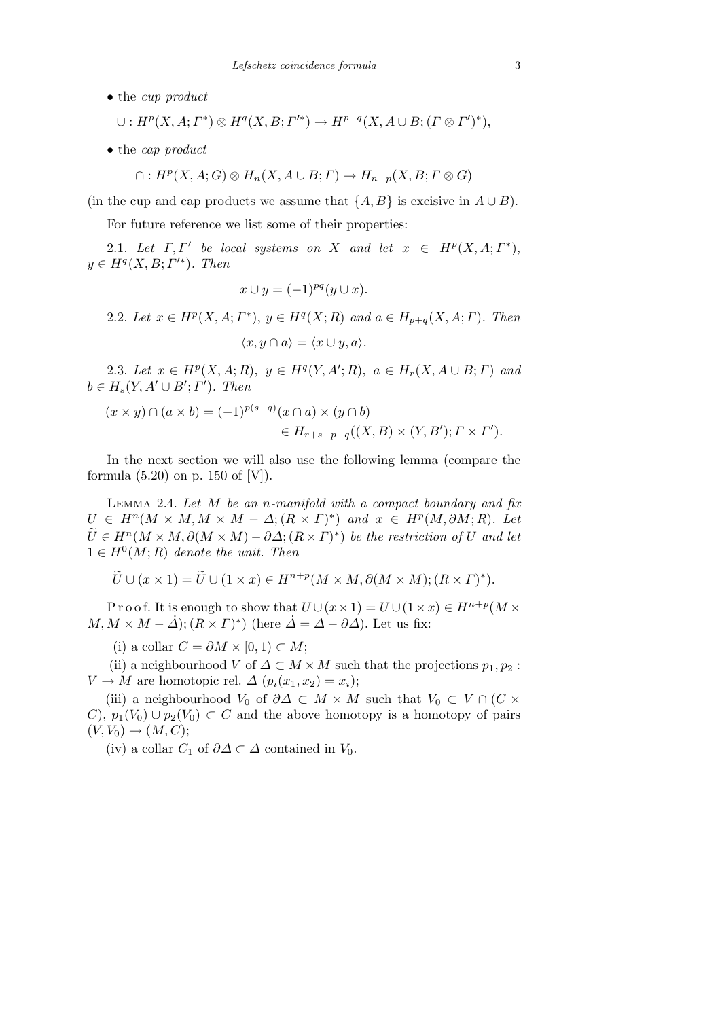*•* the *cup product*

$$
\cup: H^p(X, A; \Gamma^*) \otimes H^q(X, B; \Gamma'^*) \to H^{p+q}(X, A \cup B; (\Gamma \otimes \Gamma')^*),
$$

*•* the *cap product*

$$
\cap: H^p(X, A; G) \otimes H_n(X, A \cup B; \Gamma) \to H_{n-p}(X, B; \Gamma \otimes G)
$$

(in the cup and cap products we assume that  $\{A, B\}$  is excisive in  $A \cup B$ ).

For future reference we list some of their properties:

2.1. Let  $\Gamma, \Gamma'$  be local systems on *X* and let  $x \in H^p(X, A; \Gamma^*)$ ,  $y \in H^q(X, B; \Gamma'^*)$ *. Then* 

$$
x \cup y = (-1)^{pq} (y \cup x).
$$

2.2. Let  $x \in H^p(X, A; \Gamma^*)$ ,  $y \in H^q(X; R)$  and  $a \in H_{p+q}(X, A; \Gamma)$ . Then  $\langle x, y \cap a \rangle = \langle x \cup y, a \rangle$ .

2.3. Let  $x \in H^p(X, A; R)$ ,  $y \in H^q(Y, A'; R)$ ,  $a \in H_r(X, A \cup B; \Gamma)$  and  $b \in H_s(Y, A' \cup B'; \Gamma')$ *. Then* 

$$
(x \times y) \cap (a \times b) = (-1)^{p(s-q)} (x \cap a) \times (y \cap b)
$$
  

$$
\in H_{r+s-p-q}((X, B) \times (Y, B'); \Gamma \times \Gamma').
$$

In the next section we will also use the following lemma (compare the formula  $(5.20)$  on p. 150 of [V]).

Lemma 2.4. *Let M be an n-manifold with a compact boundary and fix*  $U \in H^n(M \times M, M \times M - \Delta; (R \times \Gamma)^*)$  and  $x \in H^p(M, \partial M; R)$ . Let  $\widetilde{U} \in H^n(M \times M, \partial(M \times M) - \partial \Delta; (R \times \Gamma)^*)$  be the restriction of  $U$  and let  $1 \in H^0(M; R)$  *denote the unit. Then* 

$$
\widetilde{U} \cup (x \times 1) = \widetilde{U} \cup (1 \times x) \in H^{n+p}(M \times M, \partial(M \times M); (R \times \Gamma)^*).
$$

P r o o f. It is enough to show that  $U \cup (x \times 1) = U \cup (1 \times x) \in H^{n+p}(M \times$  $M, M \times M - \Delta$ ;  $(R \times T)^*$  (here  $\Delta = \Delta - \partial \Delta$ ). Let us fix:

(i) a collar  $C = ∂M × [0, 1) ⊂ M$ ;

(ii) a neighbourhood *V* of  $\Delta \subset M \times M$  such that the projections  $p_1, p_2$ :  $V \rightarrow M$  are homotopic rel.  $\Delta (p_i(x_1, x_2) = x_i);$ 

(iii) a neighbourhood *V*<sup>0</sup> of  $\partial \Delta \subset M \times M$  such that  $V_0 \subset V \cap (C \times$ *C*),  $p_1(V_0) ∪ p_2(V_0) ⊂ C$  and the above homotopy is a homotopy of pairs  $(V, V_0) \rightarrow (M, C);$ 

(iv) a collar  $C_1$  of  $\partial \Delta \subset \Delta$  contained in  $V_0$ .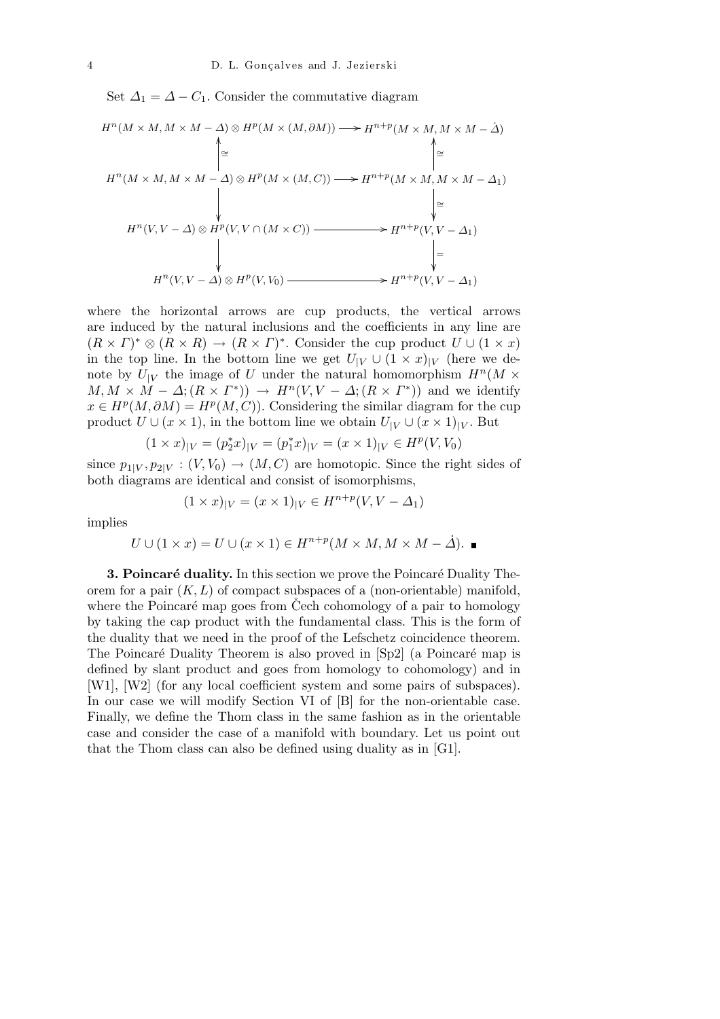Set  $\Delta_1 = \Delta - C_1$ . Consider the commutative diagram

$$
H^{n}(M \times M, M \times M - \Delta) \otimes H^{p}(M \times (M, \partial M)) \longrightarrow H^{n+p}(M \times M, M \times M - \Delta)
$$
\n
$$
\uparrow \cong \qquad \qquad \uparrow \cong
$$
\n
$$
H^{n}(M \times M, M \times M - \Delta) \otimes H^{p}(M \times (M, C)) \longrightarrow H^{n+p}(M \times M, M \times M - \Delta_{1})
$$
\n
$$
\downarrow \cong
$$
\n
$$
H^{n}(V, V - \Delta) \otimes H^{p}(V, V \cap (M \times C)) \longrightarrow H^{n+p}(V, V - \Delta_{1})
$$
\n
$$
\downarrow \qquad \qquad \downarrow
$$
\n
$$
H^{n}(V, V - \Delta) \otimes H^{p}(V, V_{0}) \longrightarrow H^{n+p}(V, V - \Delta_{1})
$$

where the horizontal arrows are cup products, the vertical arrows are induced by the natural inclusions and the coefficients in any line are  $(R \times \Gamma)^* \otimes (R \times R) \to (R \times \Gamma)^*$ . Consider the cup product  $U \cup (1 \times x)$ in the top line. In the bottom line we get  $U_{|V} \cup (1 \times x)_{|V}$  (here we denote by  $U_{|V}$  the image of *U* under the natural homomorphism  $H^n(M \times$  $M, M \times M - \Delta$ ;  $(R \times \Gamma^*)$   $\rightarrow$   $H^n(V, V - \Delta; (R \times \Gamma^*))$  and we identify  $x \in H^p(M, \partial M) = H^p(M, C)$ . Considering the similar diagram for the cup product  $U \cup (x \times 1)$ , in the bottom line we obtain  $U_{|V} \cup (x \times 1)_{|V}$ . But

$$
(1 \times x)_{|V} = (p_2^* x)_{|V} = (p_1^* x)_{|V} = (x \times 1)_{|V} \in H^p(V, V_0)
$$

since  $p_{1|V}, p_{2|V} : (V, V_0) \to (M, C)$  are homotopic. Since the right sides of both diagrams are identical and consist of isomorphisms,

$$
(1 \times x)|_V = (x \times 1)|_V \in H^{n+p}(V, V - \Delta_1)
$$

implies

$$
U \cup (1 \times x) = U \cup (x \times 1) \in H^{n+p}(M \times M, M \times M - \Delta).
$$

**3. Poincaré duality.** In this section we prove the Poincaré Duality Theorem for a pair  $(K, L)$  of compact subspaces of a (non-orientable) manifold, where the Poincaré map goes from Cech cohomology of a pair to homology by taking the cap product with the fundamental class. This is the form of the duality that we need in the proof of the Lefschetz coincidence theorem. The Poincaré Duality Theorem is also proved in [Sp2] (a Poincaré map is defined by slant product and goes from homology to cohomology) and in [W1], [W2] (for any local coefficient system and some pairs of subspaces). In our case we will modify Section VI of [B] for the non-orientable case. Finally, we define the Thom class in the same fashion as in the orientable case and consider the case of a manifold with boundary. Let us point out that the Thom class can also be defined using duality as in [G1].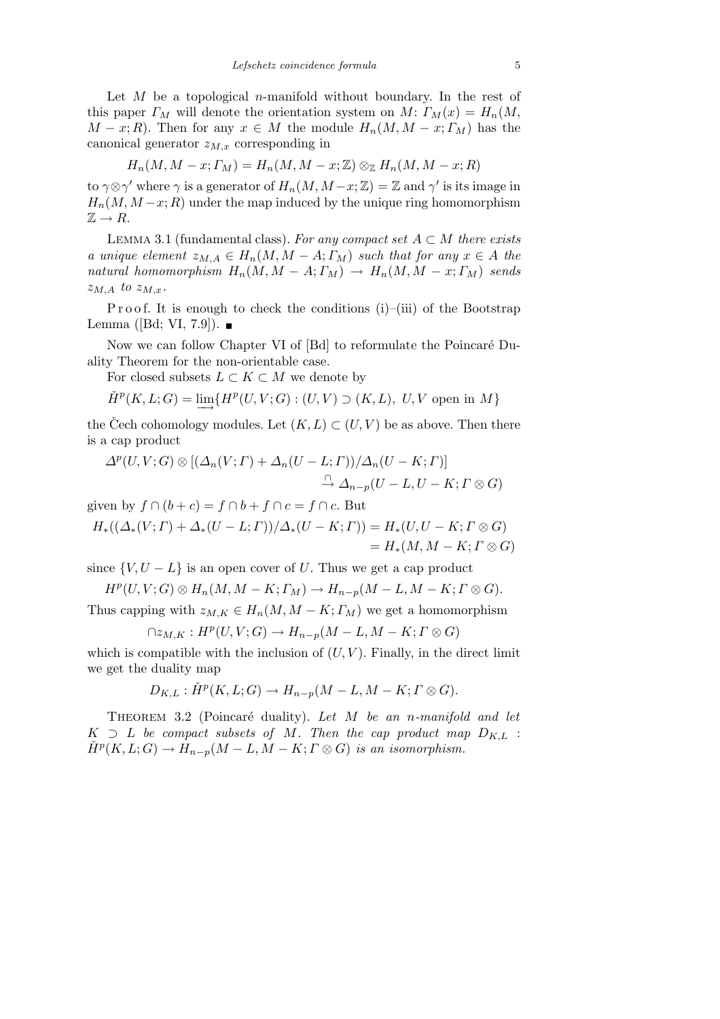Let *M* be a topological *n*-manifold without boundary. In the rest of this paper  $\Gamma_M$  will denote the orientation system on  $M: \Gamma_M(x) = H_n(M,$  $M - x$ ; *R*). Then for any  $x \in M$  the module  $H_n(M, M - x; \Gamma_M)$  has the canonical generator  $z_{M,x}$  corresponding in

$$
H_n(M, M-x; \Gamma_M) = H_n(M, M-x; \mathbb{Z}) \otimes_{\mathbb{Z}} H_n(M, M-x; R)
$$

to  $\gamma \otimes \gamma'$  where  $\gamma$  is a generator of  $H_n(M, M - x; \mathbb{Z}) = \mathbb{Z}$  and  $\gamma'$  is its image in  $H_n(M, M-x; R)$  under the map induced by the unique ring homomorphism  $\mathbb{Z} \to R$ .

LEMMA 3.1 (fundamental class). For any compact set  $A \subset M$  there exists *a* unique element  $z_{M,A} \in H_n(M, M - A; \Gamma_M)$  such that for any  $x \in A$  the *natural homomorphism*  $H_n(M, M - A; \Gamma_M) \to H_n(M, M - x; \Gamma_M)$  sends  $z_{M,A}$  to  $z_{M,x}$ .

P roof. It is enough to check the conditions  $(i)$ –(iii) of the Bootstrap Lemma ([Bd; VI, 7.9]).  $\blacksquare$ 

Now we can follow Chapter VI of [Bd] to reformulate the Poincaré Duality Theorem for the non-orientable case.

For closed subsets  $L \subset K \subset M$  we denote by

$$
\check{H}^p(K,L;G)=\varinjlim\{H^p(U,V;G): (U,V)\supset (K,L),\ U,V \text{ open in }M\}
$$

the Cech cohomology modules. Let  $(K, L) \subset (U, V)$  be as above. Then there is a cap product

$$
\Delta^p(U, V; G) \otimes [(\Delta_n(V; \Gamma) + \Delta_n(U - L; \Gamma))/\Delta_n(U - K; \Gamma)]
$$
  

$$
\stackrel{\cap}{\to} \Delta_{n-p}(U - L, U - K; \Gamma \otimes G)
$$

given by  $f \cap (b+c) = f \cap b + f \cap c = f \cap c$ . But

$$
H_*((\Delta_*(V; \Gamma) + \Delta_*(U - L; \Gamma))/\Delta_*(U - K; \Gamma)) = H_*(U, U - K; \Gamma \otimes G)
$$
  
=  $H_*(M, M - K; \Gamma \otimes G)$ 

since  $\{V, U - L\}$  is an open cover of *U*. Thus we get a cap product

$$
H^p(U, V; G) \otimes H_n(M, M - K; \Gamma_M) \to H_{n-p}(M - L, M - K; \Gamma \otimes G).
$$

Thus capping with  $z_{M,K} \in H_n(M, M - K; \Gamma_M)$  we get a homomorphism

$$
\cap z_{M,K}: H^p(U, V; G) \to H_{n-p}(M-L, M-K; \Gamma \otimes G)
$$

which is compatible with the inclusion of  $(U, V)$ . Finally, in the direct limit we get the duality map

$$
D_{K,L} : \check{H}^p(K, L; G) \to H_{n-p}(M-L, M-K; \Gamma \otimes G).
$$

Theorem 3.2 (Poincar´e duality). *Let M be an n-manifold and let*  $K \supset L$  *be compact subsets of M. Then the cap product map*  $D_{K,L}$  :  $\check{H}^p(K, L; G) \to \hat{H}_{n-p}(M - L, \check{M} - K; \Gamma \otimes G)$  *is an isomorphism.*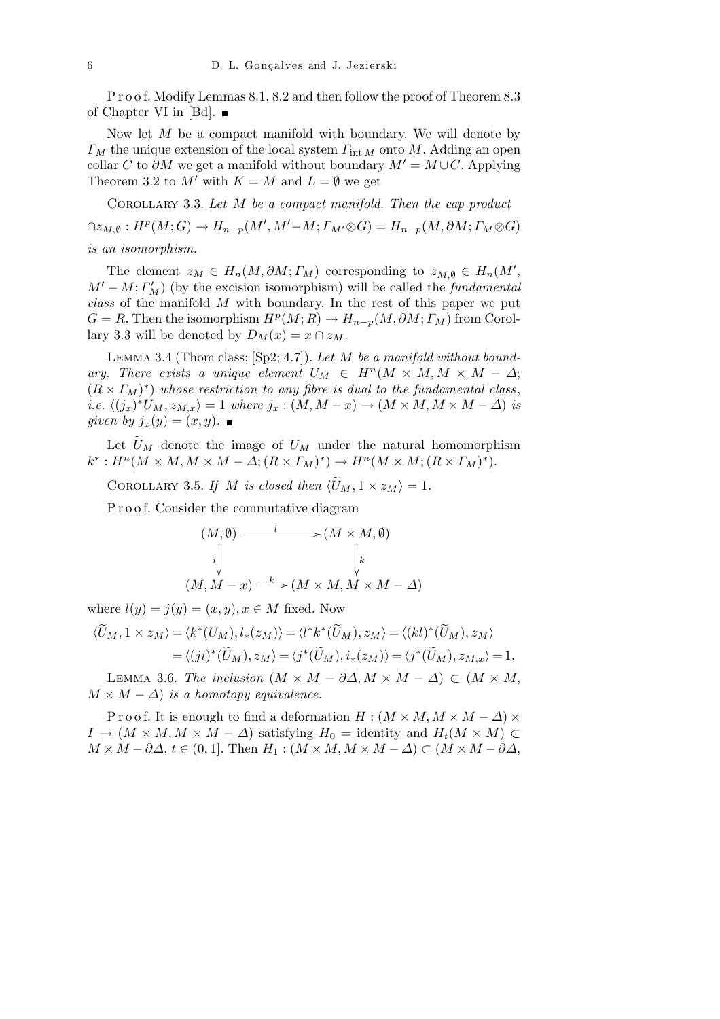P r o o f. Modify Lemmas 8.1, 8.2 and then follow the proof of Theorem 8.3 of Chapter VI in [Bd].  $\blacksquare$ 

Now let *M* be a compact manifold with boundary. We will denote by *Γ<sup>M</sup>* the unique extension of the local system *Γ*int *<sup>M</sup>* onto *M*. Adding an open collar *C* to  $\partial M$  we get a manifold without boundary  $M' = M \cup C$ . Applying Theorem 3.2 to  $M'$  with  $K = M$  and  $L = \emptyset$  we get

Corollary 3.3. *Let M be a compact manifold. Then the cap product*  $\bigcap z_{M,\emptyset} : H^p(M;G) \to H_{n-p}(M',M'-M; \Gamma_{M'} \otimes G) = H_{n-p}(M,\partial M; \Gamma_M \otimes G)$ *is an isomorphism.*

The element  $z_M \in H_n(M, \partial M; \Gamma_M)$  corresponding to  $z_{M, \emptyset} \in H_n(M', \mathcal{M}_M)$  $M' - M$ ;  $\Gamma_M'$ ) (by the excision isomorphism) will be called the *fundamental class* of the manifold *M* with boundary. In the rest of this paper we put  $G = R$ . Then the isomorphism  $H^p(M; R) \to H_{n-p}(M, \partial M; \Gamma_M)$  from Corollary 3.3 will be denoted by  $D_M(x) = x \cap z_M$ .

Lemma 3.4 (Thom class; [Sp2; 4.7]). *Let M be a manifold without boundary.* There exists a unique element  $U_M \in H^n(M \times M, M \times M - \Delta;$  $(R \times \Gamma_M)^*$  whose restriction to any fibre is dual to the fundamental class, *i.e.*  $\langle (j_x)^* U_M, z_{M,x} \rangle = 1$  where  $j_x : (M, M - x) \to (M \times M, M \times M - \Delta)$  is *given by*  $j_x(y) = (x, y)$ .

Let  $\widetilde{U}_M$  denote the image of  $U_M$  under the natural homomorphism  $k^*: H^n(M \times M, M \times M - \Delta; (R \times \Gamma_M)^*) \to H^n(M \times M; (R \times \Gamma_M)^*).$ 

COROLLARY 3.5. If *M is closed then*  $\langle \widetilde{U}_M, 1 \times z_M \rangle = 1$ .

Proof. Consider the commutative diagram

$$
(M, \emptyset) \longrightarrow (M \times M, \emptyset)
$$
  
\n
$$
\downarrow \qquad \qquad \downarrow k
$$
  
\n
$$
(M, M - x) \xrightarrow{k} (M \times M, M \times M - \Delta)
$$

where  $l(y) = j(y) = (x, y), x \in M$  fixed. Now

$$
\langle \widetilde{U}_M, 1 \times z_M \rangle = \langle k^*(U_M), l_*(z_M) \rangle = \langle l^* k^*(\widetilde{U}_M), z_M \rangle = \langle (kl)^*(\widetilde{U}_M), z_M \rangle
$$
  

$$
= \langle (ji)^*(\widetilde{U}_M), z_M \rangle = \langle j^*(\widetilde{U}_M), i_*(z_M) \rangle = \langle j^*(\widetilde{U}_M), z_{M,x} \rangle = 1.
$$

LEMMA 3.6. *The inclusion*  $(M \times M - \partial \Delta, M \times M - \Delta) \subset (M \times M,$  $M \times M - \Delta$  *is a homotopy equivalence.* 

Proof. It is enough to find a deformation  $H : (M \times M, M \times M - \Delta) \times$  $I \rightarrow (M \times M, M \times M - \Delta)$  satisfying  $H_0 =$  identity and  $H_t(M \times M) \subset$  $M \times M - \partial \Delta$ ,  $t \in (0,1]$ . Then  $H_1 : (M \times M, M \times M - \Delta) \subset (M \times M - \partial \Delta)$ ,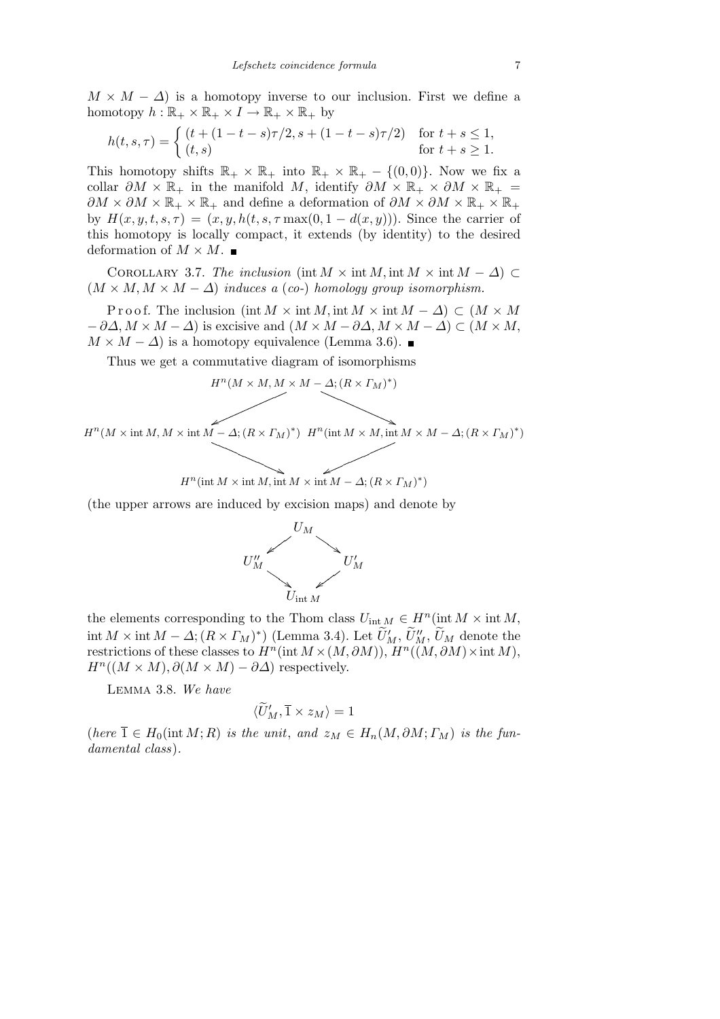$M \times M - \Delta$ ) is a homotopy inverse to our inclusion. First we define a homotopy  $h : \mathbb{R}_+ \times \mathbb{R}_+ \times I \to \mathbb{R}_+ \times \mathbb{R}_+$  by

$$
h(t,s,\tau) = \begin{cases} (t + (1 - t - s)\tau/2, s + (1 - t - s)\tau/2) & \text{for } t + s \le 1, \\ (t,s) & \text{for } t + s \ge 1. \end{cases}
$$

This homotopy shifts  $\mathbb{R}_+ \times \mathbb{R}_+$  into  $\mathbb{R}_+ \times \mathbb{R}_+ - \{(0,0)\}.$  Now we fix a collar  $\partial M \times \mathbb{R}_+$  in the manifold M, identify  $\partial M \times \mathbb{R}_+ \times \partial M \times \mathbb{R}_+ =$  $\partial M \times \partial M \times \mathbb{R}_+ \times \mathbb{R}_+$  and define a deformation of  $\partial M \times \partial M \times \mathbb{R}_+ \times \mathbb{R}_+$ by  $H(x, y, t, s, \tau) = (x, y, h(t, s, \tau) \text{max}(0, 1 - d(x, y)))$ . Since the carrier of this homotopy is locally compact, it extends (by identity) to the desired deformation of  $M \times M$ .

COROLLARY 3.7. *The inclusion* (int  $M \times \text{int } M$ , int  $M \times \text{int } M - \Delta$ ) ⊂  $(M \times M, M \times M - \Delta)$  *induces a* (*co-*) *homology group isomorphism.* 

Proof. The inclusion (int  $M \times \text{int } M$ , int  $M \times \text{int } M - \Delta$ )  $\subset (M \times M)$ *− ∂∆, M × M − ∆*) is excisive and (*M × M − ∂∆, M × M − ∆*) *⊂* (*M × M,*  $M \times M - \Delta$ ) is a homotopy equivalence (Lemma 3.6). ■

Thus we get a commutative diagram of isomorphisms

$$
H^{n}(M \times M, M \times M - \Delta; (R \times \Gamma_M)^{*})
$$

 $H^n(M \times \text{int } M, M \times \text{int } M - \Delta; (R \times \Gamma_M)^*)$   $H^n(\text{int } M \times M, \text{int } M \times M - \Delta; (R \times \Gamma_M)^*)$  $Q_{\text{QCD}}$ 

$$
H^{n}(\operatorname{int} M \times \operatorname{int} M, \operatorname{int} M \times \operatorname{int} M - \Delta; (R \times \Gamma_M)^{*})
$$

(the upper arrows are induced by excision maps) and denote by



the elements corresponding to the Thom class  $U_{int M} \in H^n(int M \times int M,$  $\text{int } M \times \text{int } M - \Delta$ ;  $(R \times \Gamma_M)^*$ ) (Lemma 3.4). Let  $\widetilde{U}'_M$ ,  $\widetilde{U}''_M$ ,  $\widetilde{U}'_M$  denote the restrictions of these classes to  $H^n(\text{int } M \times (M, \partial M))$ ,  $H^n((M, \partial M) \times \text{int } M)$ ,  $H^n((M \times M), \partial(M \times M) - \partial \Delta)$  respectively.

Lemma 3.8. *We have*

$$
\langle \widetilde{U}'_M,\overline{1}\times z_M\rangle=1
$$

 $(here\ \overline{1}\in H_0(\text{int}\ M;R)$  *is the unit, and*  $z_M\in H_n(M,\partial M; \Gamma_M)$  *is the fundamental class*)*.*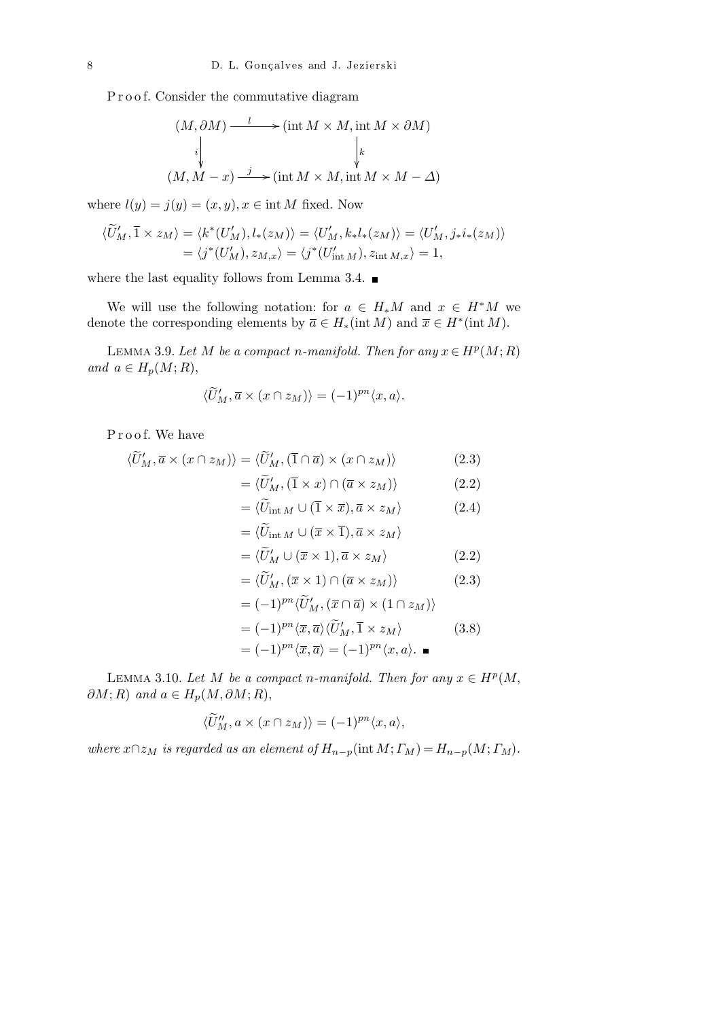Proof. Consider the commutative diagram

$$
(M, \partial M) \xrightarrow{l} (\text{int } M \times M, \text{int } M \times \partial M)
$$
  
\n
$$
\downarrow \qquad \qquad \downarrow k
$$
  
\n
$$
(M, M - x) \xrightarrow{j} (\text{int } M \times M, \text{int } M \times M - \Delta)
$$

where  $l(y) = j(y) = (x, y), x \in \text{int } M$  fixed. Now

$$
\langle \widetilde{U}'_M, \overline{1} \times z_M \rangle = \langle k^*(U'_M), l_*(z_M) \rangle = \langle U'_M, k_*l_*(z_M) \rangle = \langle U'_M, j_*i_*(z_M) \rangle
$$
  
=  $\langle j^*(U'_M), z_{M,x} \rangle = \langle j^*(U'_{\text{int }M}), z_{\text{int }M,x} \rangle = 1,$ 

where the last equality follows from Lemma 3.4.  $\blacksquare$ 

We will use the following notation: for  $a \in H_*M$  and  $x \in H^*M$  we denote the corresponding elements by  $\overline{a} \in H_*(\text{int } M)$  and  $\overline{x} \in H^*(\text{int } M)$ .

LEMMA 3.9. Let *M* be a compact *n*-manifold. Then for any  $x \in H^p(M; R)$  $and \ a \in H_p(M; R),$ 

$$
\langle \widetilde{U}'_M, \overline{a} \times (x \cap z_M) \rangle = (-1)^{pn} \langle x, a \rangle.
$$

Proof. We have

$$
\langle \widetilde{U}'_M, \overline{a} \times (x \cap z_M) \rangle = \langle \widetilde{U}'_M, (\overline{1} \cap \overline{a}) \times (x \cap z_M) \rangle \tag{2.3}
$$

$$
= \langle \widetilde{U}'_M, (\overline{1} \times x) \cap (\overline{a} \times z_M) \rangle \tag{2.2}
$$

$$
= \langle \widetilde{U}_{int M} \cup (\overline{1} \times \overline{x}), \overline{a} \times z_M \rangle \qquad (2.4)
$$

$$
= \langle \widetilde{U}_{int M} \cup (\overline{x} \times \overline{1}), \overline{a} \times z_M \rangle
$$

$$
= \langle \widetilde{U}'_M \cup (\overline{x} \times 1), \overline{a} \times z_M \rangle \tag{2.2}
$$

$$
= \langle \widetilde{U}'_M, (\overline{x} \times 1) \cap (\overline{a} \times z_M) \rangle \tag{2.3}
$$

$$
= (-1)^{pn} \langle \widetilde{U}'_M, (\overline{x} \cap \overline{a}) \times (1 \cap z_M) \rangle
$$
  
\n
$$
= (-1)^{pn} \langle \overline{x}, \overline{a} \rangle \langle \widetilde{U}'_M, \overline{1} \times z_M \rangle
$$
 (3.8)  
\n
$$
= (-1)^{pn} \langle \overline{x}, \overline{a} \rangle = (-1)^{pn} \langle x, a \rangle.
$$

LEMMA 3.10. Let *M* be a compact *n*-manifold. Then for any  $x \in H^p(M,$  $\partial M$ ; *R*) *and*  $a \in H_p(M, \partial M; R)$ ,

$$
\langle \widetilde{U}'_M, a \times (x \cap z_M) \rangle = (-1)^{pn} \langle x, a \rangle,
$$

*where*  $x \cap z_M$  *is regarded as an element of*  $H_{n-p}(\text{int } M; \Gamma_M) = H_{n-p}(M; \Gamma_M)$ .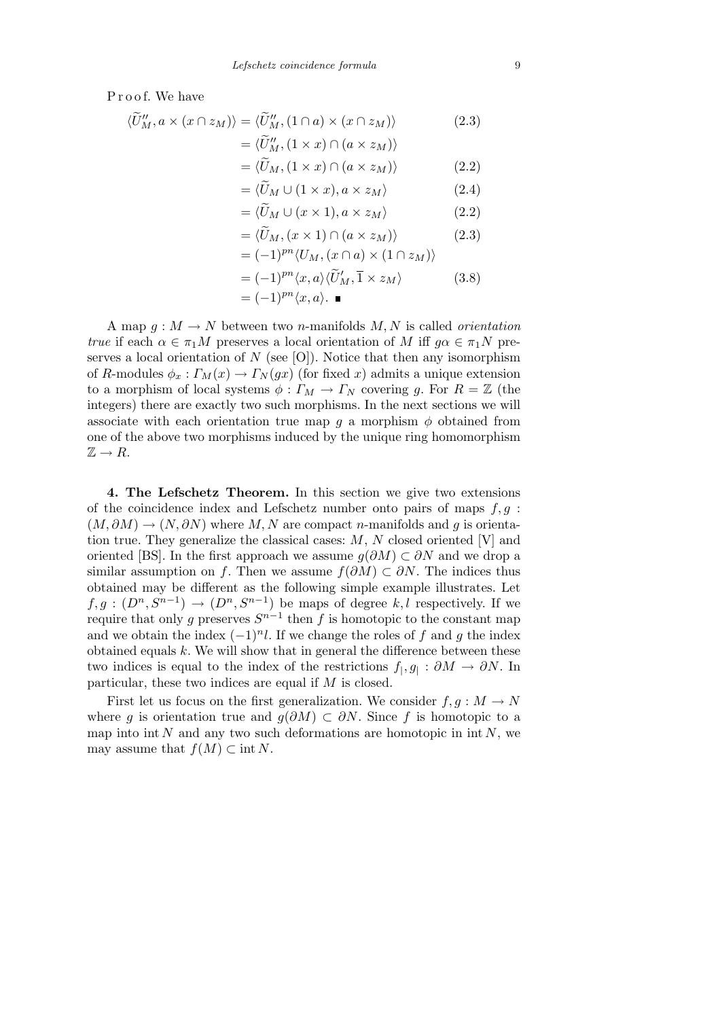Proof. We have

$$
\langle \widetilde{U}'_M, a \times (x \cap z_M) \rangle = \langle \widetilde{U}'_M, (1 \cap a) \times (x \cap z_M) \rangle
$$
  
=  $\langle \widetilde{U}'_M, (1 \times x) \cap (a \times z_M) \rangle$  (2.3)

$$
= \langle \widetilde{U}_M, (1 \times x) \cap (a \times z_M) \rangle \tag{2.2}
$$

$$
= \langle \widetilde{U}_M \cup (1 \times x), a \times z_M \rangle \tag{2.4}
$$

$$
= \langle \widetilde{U}_M \cup (x \times 1), a \times z_M \rangle \tag{2.2}
$$

$$
= \langle \widetilde{U}_M, (x \times 1) \cap (a \times z_M) \rangle \tag{2.3}
$$

$$
= (-1)^{pn} \langle U_M, (x \cap a) \times (1 \cap z_M) \rangle
$$
  
= (-1)^{pn} \langle x, a \rangle \langle \widetilde{U}'\_M, \overline{1} \times z\_M \rangle \qquad (3.8)  
= (-1)^{pn} \langle x, a \rangle.

A map  $q: M \to N$  between two *n*-manifolds M, N is called *orientation true* if each  $\alpha \in \pi_1 M$  preserves a local orientation of M iff  $q\alpha \in \pi_1 N$  preserves a local orientation of  $N$  (see [O]). Notice that then any isomorphism of *R*-modules  $\phi_x : \Gamma_M(x) \to \Gamma_N(gx)$  (for fixed *x*) admits a unique extension to a morphism of local systems  $\phi: \Gamma_M \to \Gamma_N$  covering *g*. For  $R = \mathbb{Z}$  (the integers) there are exactly two such morphisms. In the next sections we will associate with each orientation true map  $g$  a morphism  $\phi$  obtained from one of the above two morphisms induced by the unique ring homomorphism  $\mathbb{Z} \to R$ .

**4. The Lefschetz Theorem.** In this section we give two extensions of the coincidence index and Lefschetz number onto pairs of maps *f, g* :  $(M, \partial M) \rightarrow (N, \partial N)$  where *M, N* are compact *n*-manifolds and *q* is orientation true. They generalize the classical cases: *M*, *N* closed oriented [V] and oriented [BS]. In the first approach we assume  $q(\partial M) \subset \partial N$  and we drop a similar assumption on *f*. Then we assume  $f(\partial M) \subset \partial N$ . The indices thus obtained may be different as the following simple example illustrates. Let  $f, g : (D^n, S^{n-1}) \to (D^n, S^{n-1})$  be maps of degree  $k, l$  respectively. If we require that only *g* preserves  $S^{n-1}$  then *f* is homotopic to the constant map and we obtain the index  $(-1)^n l$ . If we change the roles of f and g the index obtained equals *k*. We will show that in general the difference between these two indices is equal to the index of the restrictions  $f_1, g_1 : \partial M \to \partial N$ . In particular, these two indices are equal if *M* is closed.

First let us focus on the first generalization. We consider  $f, g: M \to N$ where *g* is orientation true and  $g(\partial M) \subset \partial N$ . Since *f* is homotopic to a map into int  $N$  and any two such deformations are homotopic in int  $N$ , we may assume that  $f(M) \subset \text{int } N$ .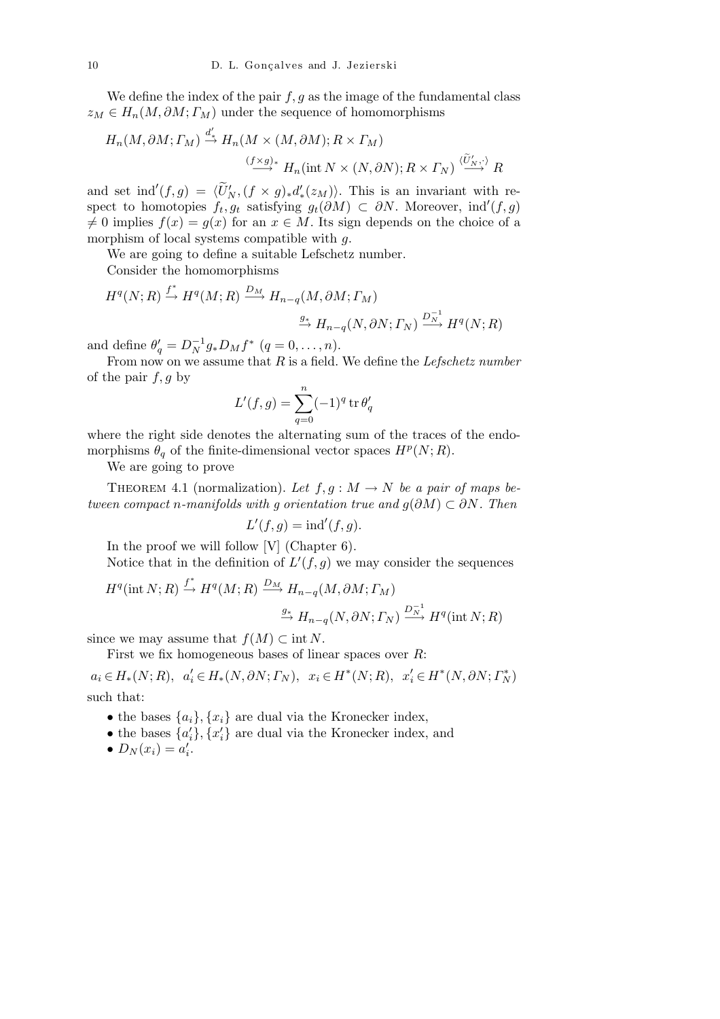We define the index of the pair  $f, g$  as the image of the fundamental class  $z_M \in H_n(M, \partial M; \Gamma_M)$  under the sequence of homomorphisms

$$
H_n(M, \partial M; \Gamma_M) \stackrel{d'_*}{\to} H_n(M \times (M, \partial M); R \times \Gamma_M)
$$
  

$$
\stackrel{(f \times g)_*}{\longrightarrow} H_n(\text{int } N \times (N, \partial N); R \times \Gamma_N) \stackrel{\langle \tilde{U}'_N, \cdot \rangle}{\longrightarrow} R
$$

and set ind<sup>'</sup>(f, g) =  $\langle \tilde{U}'_N, (f \times g)_* d'_*(z_M) \rangle$ . This is an invariant with respect to homotopies  $f_t, g_t$  satisfying  $g_t(\partial M) \subset \partial N$ . Moreover, ind<sup>'</sup>(f, g)  $f(x) = g(x)$  for an  $x \in M$ . Its sign depends on the choice of a morphism of local systems compatible with *g*.

We are going to define a suitable Lefschetz number. Consider the homomorphisms

$$
H^{q}(N;R) \xrightarrow{f^*} H^{q}(M;R) \xrightarrow{D_M} H_{n-q}(M,\partial M; \Gamma_M)
$$
  

$$
\xrightarrow{g_*} H_{n-q}(N,\partial N; \Gamma_N) \xrightarrow{D_{N}^{-1}} H^{q}(N;R)
$$

and define  $\theta'_q = D_N^{-1} g_* D_M f^*$   $(q = 0, ..., n)$ .

From now on we assume that *R* is a field. We define the *Lefschetz number* of the pair *f, g* by

$$
L'(f,g) = \sum_{q=0}^{n} (-1)^q \operatorname{tr} \theta'_q
$$

where the right side denotes the alternating sum of the traces of the endomorphisms  $\theta_q$  of the finite-dimensional vector spaces  $H^p(N;R)$ .

We are going to prove

THEOREM 4.1 (normalization). Let  $f, g: M \to N$  be a pair of maps be*tween compact n-manifolds with g orientation true and*  $g(\partial M) \subset \partial N$ *. Then* 

$$
L'(f,g) = \text{ind}'(f,g).
$$

In the proof we will follow [V] (Chapter 6).

Notice that in the definition of  $L'(f, g)$  we may consider the sequences

$$
H^{q}(\text{int }N; R) \stackrel{f^{*}}{\rightarrow} H^{q}(M; R) \stackrel{D_{M}}{\rightarrow} H_{n-q}(M, \partial M; \Gamma_{M})
$$

$$
\stackrel{g_{*}}{\rightarrow} H_{n-q}(N, \partial N; \Gamma_{N}) \stackrel{D_{N}^{-1}}{\rightarrow} H^{q}(\text{int }N; R)
$$

since we may assume that  $f(M) \subset \text{int } N$ .

First we fix homogeneous bases of linear spaces over *R*:

 $a_i \in H_*(N;R), \ \ a_i' \in H_*(N,\partial N; \Gamma_N), \ \ x_i \in H^*(N;R), \ \ x_i' \in H^*(N,\partial N; \Gamma_N^*)$ such that:

- the bases  $\{a_i\}$ ,  $\{x_i\}$  are dual via the Kronecker index,
- the bases  $\{a'_i\}$ ,  $\{x'_i\}$  are dual via the Kronecker index, and
- $D_N(x_i) = a'_i$ .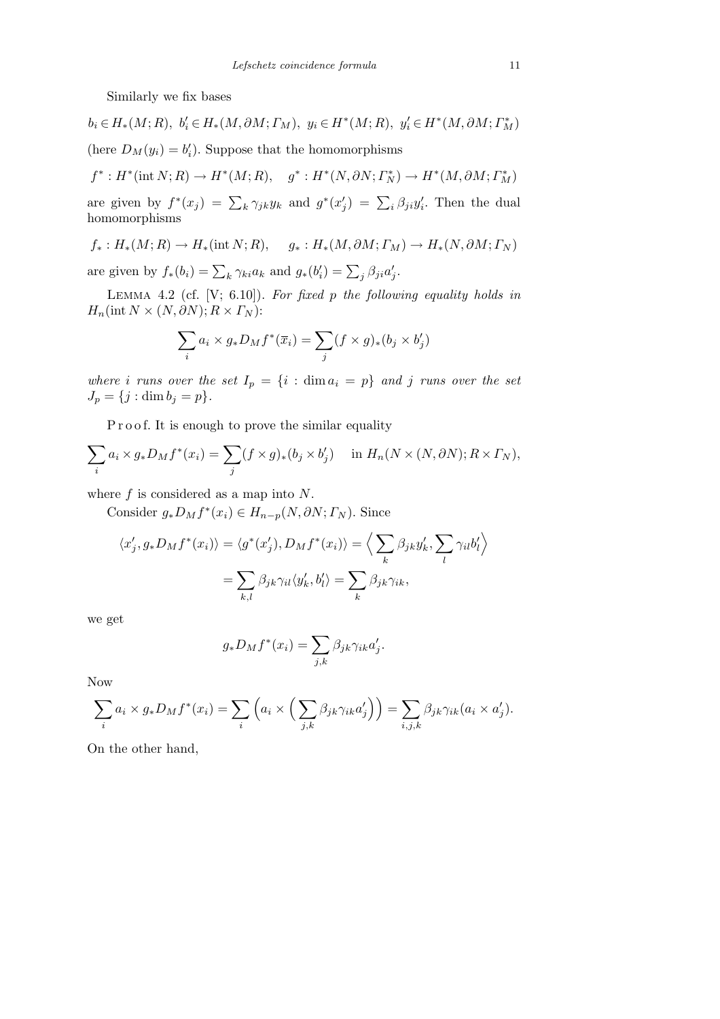Similarly we fix bases

$$
b_i \in H_*(M; R), \ b'_i \in H_*(M, \partial M; \Gamma_M), \ y_i \in H^*(M; R), \ y'_i \in H^*(M, \partial M; \Gamma_M^*)
$$
  
(here  $D_M(y_i) = b'_i$ ). Suppose that the homomorphisms

$$
f^*: H^*(\mathrm{int}\,N;R)\to H^*(M;R),\quad g^*: H^*(N,\partial N; \Gamma_N^*)\to H^*(M,\partial M; \Gamma_M^*)
$$

are given by  $f^*(x_j) = \sum_k \gamma_{jk} y_k$  and  $g^*(x'_j) = \sum_i \beta_{ji} y'_i$ . Then the dual homomorphisms

$$
f_*: H_*(M; R) \to H_*(\text{int }N; R), \quad g_*: H_*(M, \partial M; \Gamma_M) \to H_*(N, \partial M; \Gamma_N)
$$

are given by  $f_*(b_i) = \sum_k \gamma_{ki} a_k$  and  $g_*(b'_i) = \sum_j \beta_{ji} a'_j$ .

Lemma 4.2 (cf. [V; 6.10]). *For fixed p the following equality holds in*  $H_n(\text{int } N \times (N, \partial N); R \times \Gamma_N)$ :

$$
\sum_i a_i \times g_* D_M f^*(\overline{x}_i) = \sum_j (f \times g)_*(b_j \times b'_j)
$$

*where i* runs over the set  $I_p = \{i : \dim a_i = p\}$  and *j* runs over the set  $J_p = \{j : \dim b_j = p\}.$ 

P r o o f. It is enough to prove the similar equality

$$
\sum_{i} a_i \times g_* D_M f^*(x_i) = \sum_{j} (f \times g)_*(b_j \times b'_j) \quad \text{in } H_n(N \times (N, \partial N); R \times \Gamma_N),
$$

where *f* is considered as a map into *N*.

Consider  $g_* D_M f^*(x_i) \in H_{n-p}(N, \partial N; \Gamma_N)$ . Since

$$
\langle x'_j, g_* D_M f^*(x_i) \rangle = \langle g^*(x'_j), D_M f^*(x_i) \rangle = \Big\langle \sum_k \beta_{jk} y'_k, \sum_l \gamma_{il} b'_l \Big\rangle
$$

$$
= \sum_{k,l} \beta_{jk} \gamma_{il} \langle y'_k, b'_l \rangle = \sum_k \beta_{jk} \gamma_{ik},
$$

we get

$$
g_* D_M f^*(x_i) = \sum_{j,k} \beta_{jk} \gamma_{ik} a'_j.
$$

Now

$$
\sum_{i} a_i \times g_* D_M f^*(x_i) = \sum_{i} \left( a_i \times \left( \sum_{j,k} \beta_{jk} \gamma_{ik} a'_j \right) \right) = \sum_{i,j,k} \beta_{jk} \gamma_{ik} (a_i \times a'_j).
$$

On the other hand,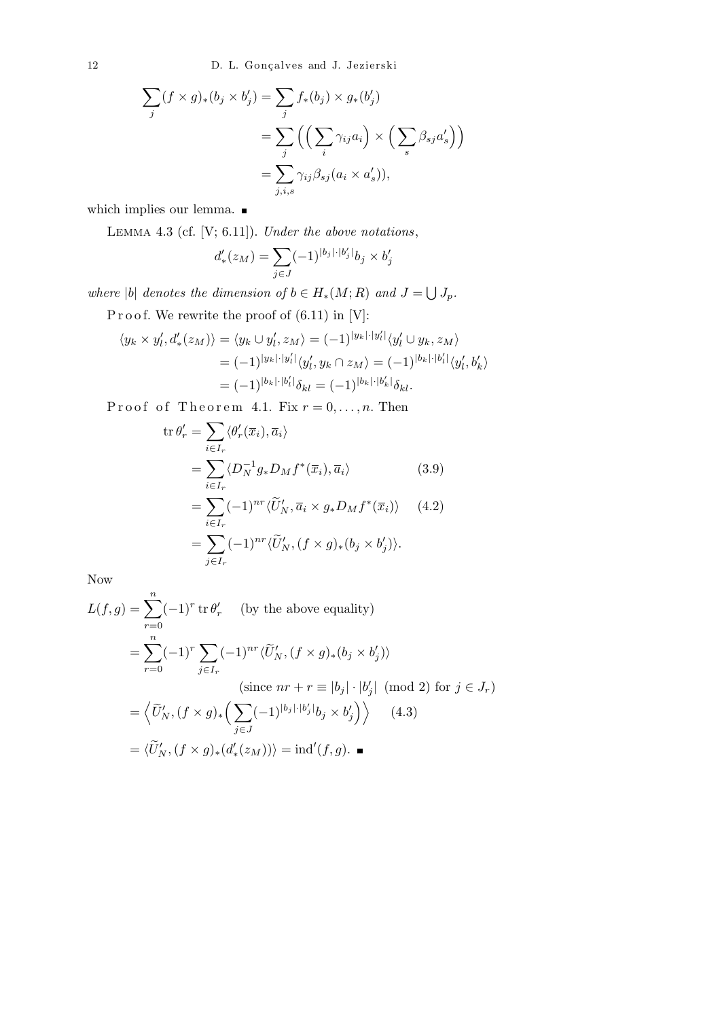12 D. L. Gonçalves and J. Jezierski

$$
\sum_{j} (f \times g)_*(b_j \times b'_j) = \sum_{j} f_*(b_j) \times g_*(b'_j)
$$
  
= 
$$
\sum_{j} \left( \left( \sum_{i} \gamma_{ij} a_i \right) \times \left( \sum_{s} \beta_{sj} a'_s \right) \right)
$$
  
= 
$$
\sum_{j,i,s} \gamma_{ij} \beta_{sj} (a_i \times a'_s)),
$$

which implies our lemma.  $\blacksquare$ 

Lemma 4.3 (cf. [V; 6.11]). *Under the above notations*,

$$
d'_{*}(z_M) = \sum_{j \in J} (-1)^{|b_j| \cdot |b'_j|} b_j \times b'_j
$$

*where*  $|b|$  *denotes the dimension of*  $b \in H_*(M; R)$  *and*  $J =$ S *Jp.*

 ${\bf P} \, {\bf r} \, {\bf o} \, {\bf o} \, {\bf f}.$  We rewrite the proof of (6.11) in [V]:

$$
\langle y_k \times y'_l, d'_*(z_M) \rangle = \langle y_k \cup y'_l, z_M \rangle = (-1)^{|y_k| \cdot |y'_l|} \langle y'_l \cup y_k, z_M \rangle
$$
  

$$
= (-1)^{|y_k| \cdot |y'_l|} \langle y'_l, y_k \cap z_M \rangle = (-1)^{|b_k| \cdot |b'_l|} \langle y'_l, b'_k \rangle
$$
  

$$
= (-1)^{|b_k| \cdot |b'_l|} \delta_{kl} = (-1)^{|b_k| \cdot |b'_k|} \delta_{kl}.
$$

Proof of Theorem 4.1. Fix  $r = 0, \ldots, n$ . Then

$$
\operatorname{tr}\theta'_{r} = \sum_{i\in I_{r}} \langle \theta'_{r}(\overline{x}_{i}), \overline{a}_{i} \rangle
$$
  
\n
$$
= \sum_{i\in I_{r}} \langle D_{N}^{-1}g_{*}D_{M}f^{*}(\overline{x}_{i}), \overline{a}_{i} \rangle
$$
(3.9)  
\n
$$
= \sum_{i\in I_{r}} (-1)^{nr} \langle \widetilde{U}'_{N}, \overline{a}_{i} \times g_{*}D_{M}f^{*}(\overline{x}_{i}) \rangle
$$
(4.2)  
\n
$$
= \sum_{j\in I_{r}} (-1)^{nr} \langle \widetilde{U}'_{N}, (f \times g)_{*}(b_{j} \times b'_{j}) \rangle.
$$

Now

$$
L(f,g) = \sum_{r=0}^{n} (-1)^r \operatorname{tr} \theta'_r \qquad \text{(by the above equality)}
$$
  
= 
$$
\sum_{r=0}^{n} (-1)^r \sum_{j \in I_r} (-1)^{nr} \langle \widetilde{U}'_N, (f \times g)_*(b_j \times b'_j) \rangle
$$
  
(since  $nr + r \equiv |b_j| \cdot |b'_j| \pmod{2}$  for  $j \in J_r$ )  
= 
$$
\langle \widetilde{U}'_N, (f \times g)_* \Big( \sum_{j \in J} (-1)^{|b_j| \cdot |b'_j|} b_j \times b'_j \Big) \rangle \qquad (4.3)
$$
  
= 
$$
\langle \widetilde{U}'_N, (f \times g)_*(d'_*(z_M)) \rangle = \operatorname{ind}'(f, g). \blacksquare
$$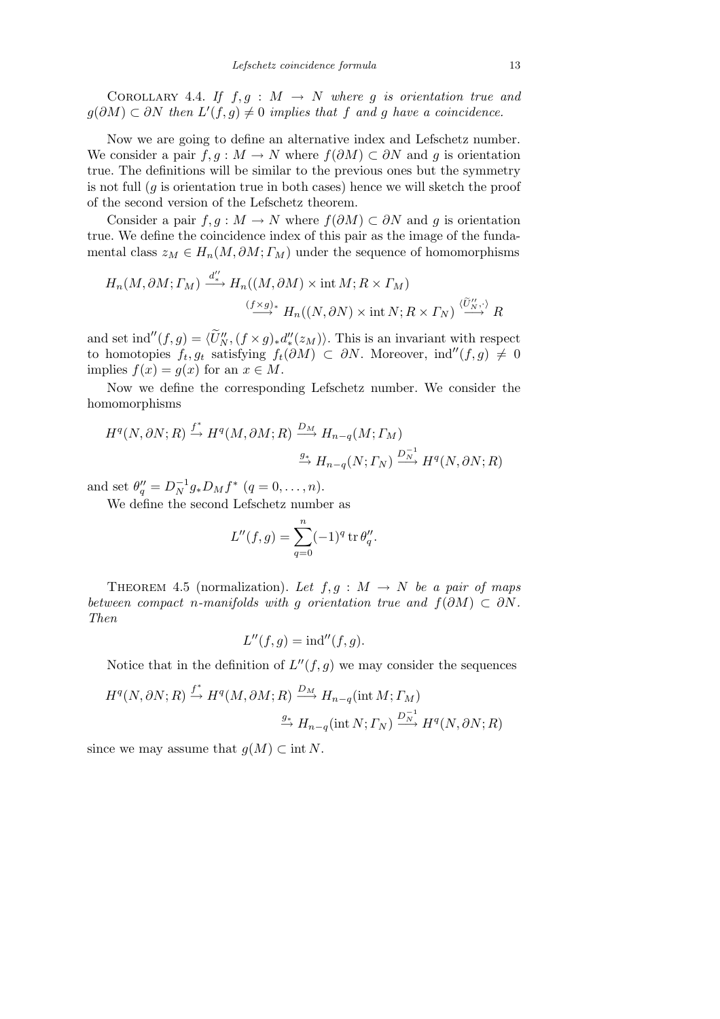COROLLARY 4.4. If  $f, g : M \rightarrow N$  where g is orientation true and *g*( $\partial M$ ) ⊂  $\partial N$  *then*  $L'(f, g) \neq 0$  *implies that f and g have a coincidence.* 

Now we are going to define an alternative index and Lefschetz number. We consider a pair  $f, g : M \to N$  where  $f(\partial M) \subset \partial N$  and g is orientation true. The definitions will be similar to the previous ones but the symmetry is not full  $(q$  is orientation true in both cases) hence we will sketch the proof of the second version of the Lefschetz theorem.

Consider a pair  $f, g: M \to N$  where  $f(\partial M) \subset \partial N$  and g is orientation true. We define the coincidence index of this pair as the image of the fundamental class  $z_M \in H_n(M, \partial M; \Gamma_M)$  under the sequence of homomorphisms

$$
H_n(M, \partial M; \Gamma_M) \xrightarrow{d''_*} H_n((M, \partial M) \times \text{int } M; R \times \Gamma_M)
$$
  

$$
\xrightarrow{(f \times g)^*} H_n((N, \partial N) \times \text{int } N; R \times \Gamma_N) \xrightarrow{\langle \widetilde{U}'_N, \cdot \rangle} R
$$

and set ind<sup>''</sup>(f, g) =  $\langle \widetilde{U}_N''$ ,  $(f \times g)_* d''_*(z_M)$ ). This is an invariant with respect to homotopies  $f_t, g_t$  satisfying  $f_t(\partial M) \subset \partial N$ . Moreover, ind<sup>''</sup> $(f, g) \neq 0$ implies  $f(x) = g(x)$  for an  $x \in M$ .

Now we define the corresponding Lefschetz number. We consider the homomorphisms

$$
H^{q}(N,\partial N;R) \xrightarrow{f^*} H^{q}(M,\partial M;R) \xrightarrow{D_M} H_{n-q}(M; \Gamma_M)
$$

$$
\xrightarrow{g_*} H_{n-q}(N; \Gamma_N) \xrightarrow{D_N^{-1}} H^{q}(N,\partial N;R)
$$

and set  $\theta''_q = D_N^{-1} g_* D_M f^*$   $(q = 0, \ldots, n)$ .

We define the second Lefschetz number as

$$
L''(f,g) = \sum_{q=0}^{n} (-1)^q \operatorname{tr} \theta''_q.
$$

THEOREM 4.5 (normalization). Let  $f, g : M \rightarrow N$  be a pair of maps *between compact n-manifolds with g orientation true and*  $f(\partial M) \subset \partial N$ *. Then*

$$
L''(f,g) = \text{ind}''(f,g).
$$

Notice that in the definition of  $L''(f,g)$  we may consider the sequences

$$
H^{q}(N, \partial N; R) \xrightarrow{f^{*}} H^{q}(M, \partial M; R) \xrightarrow{D_{M}} H_{n-q}(\text{int } M; \Gamma_{M})
$$
  

$$
\xrightarrow{g_{*}} H_{n-q}(\text{int } N; \Gamma_{N}) \xrightarrow{D_{N}^{-1}} H^{q}(N, \partial N; R)
$$

since we may assume that  $g(M) \subset \text{int } N$ .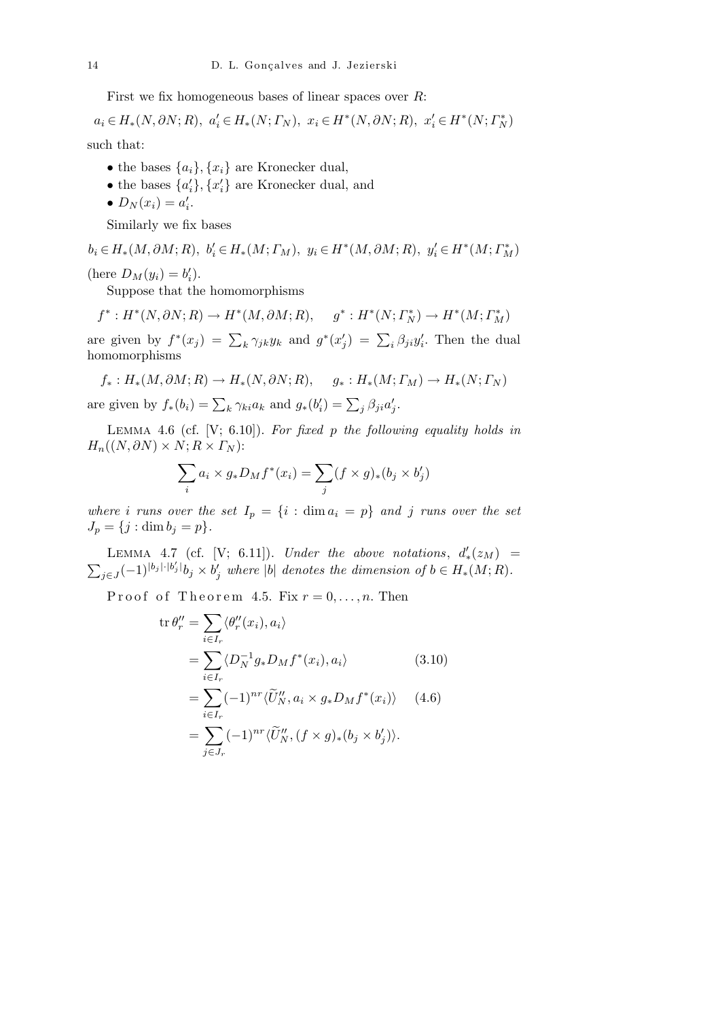First we fix homogeneous bases of linear spaces over *R*:

 $a_i \in H_*(N, \partial N; R), \ a_i' \in H_*(N; \Gamma_N), \ x_i \in H^*(N, \partial N; R), \ x_i' \in H^*(N; \Gamma_N^*)$ 

such that:

- the bases  $\{a_i\}$ ,  $\{x_i\}$  are Kronecker dual,
- the bases  $\{a'_i\}$ ,  $\{x'_i\}$  are Kronecker dual, and
- $D_N(x_i) = a'_i$ .

Similarly we fix bases

 $b_i \in H_*(M, \partial M; R), \ b_i' \in H_*(M; \Gamma_M), \ y_i \in H^*(M, \partial M; R), \ y_i' \in H^*(M; \Gamma_M^*)$ (here  $D_M(y_i) = b'_i$ ).

Suppose that the homomorphisms

 $f^*: H^*(N, \partial N; R) \to H^*(M, \partial M; R), \quad g^*: H^*(N; \Gamma_N^*) \to H^*(M; \Gamma_M^*)$ are given by  $f^*(x_j) = \sum_k \gamma_{jk} y_k$  and  $g^*(x'_j) = \sum_i \beta_{ji} y'_i$ . Then the dual

homomorphisms

$$
f_*: H_*(M, \partial M; R) \to H_*(N, \partial N; R), \quad g_*: H_*(M; \Gamma_M) \to H_*(N; \Gamma_N)
$$

are given by  $f_*(b_i) = \sum_k \gamma_{ki} a_k$  and  $g_*(b'_i) = \sum_j \beta_{ji} a'_j$ .

Lemma 4.6 (cf. [V; 6.10]). *For fixed p the following equality holds in*  $H_n((N, \partial N) \times N; R \times \Gamma_N)$ :

$$
\sum_{i} a_i \times g_* D_M f^*(x_i) = \sum_{j} (f \times g)_*(b_j \times b'_j)
$$

*where i* runs over the set  $I_p = \{i : \dim a_i = p\}$  and *j* runs over the set  $J_p = \{j : \dim b_j = p\}.$ 

LEMMA 4.7 (cf. [V; 6.11]). *Under the above notations*,  $d'_{*}(z_M)$  =  $\overline{ }$  $_{j\in J}(-1)^{|b_j|\cdot |b'_j|}b_j\times b'_j$  where |b| denotes the dimension of  $b\in H_*(M;R)$ .

Proof of Theorem 4.5. Fix  $r = 0, \ldots, n$ . Then

$$
\operatorname{tr}\theta''_r = \sum_{i\in I_r} \langle \theta''_r(x_i), a_i \rangle
$$
  
\n
$$
= \sum_{i\in I_r} \langle D_N^{-1} g_* D_M f^*(x_i), a_i \rangle \qquad (3.10)
$$
  
\n
$$
= \sum_{i\in I_r} (-1)^{nr} \langle \widetilde{U}_N'', a_i \times g_* D_M f^*(x_i) \rangle \quad (4.6)
$$
  
\n
$$
= \sum_{j\in J_r} (-1)^{nr} \langle \widetilde{U}_N'', (f \times g)_*(b_j \times b'_j) \rangle.
$$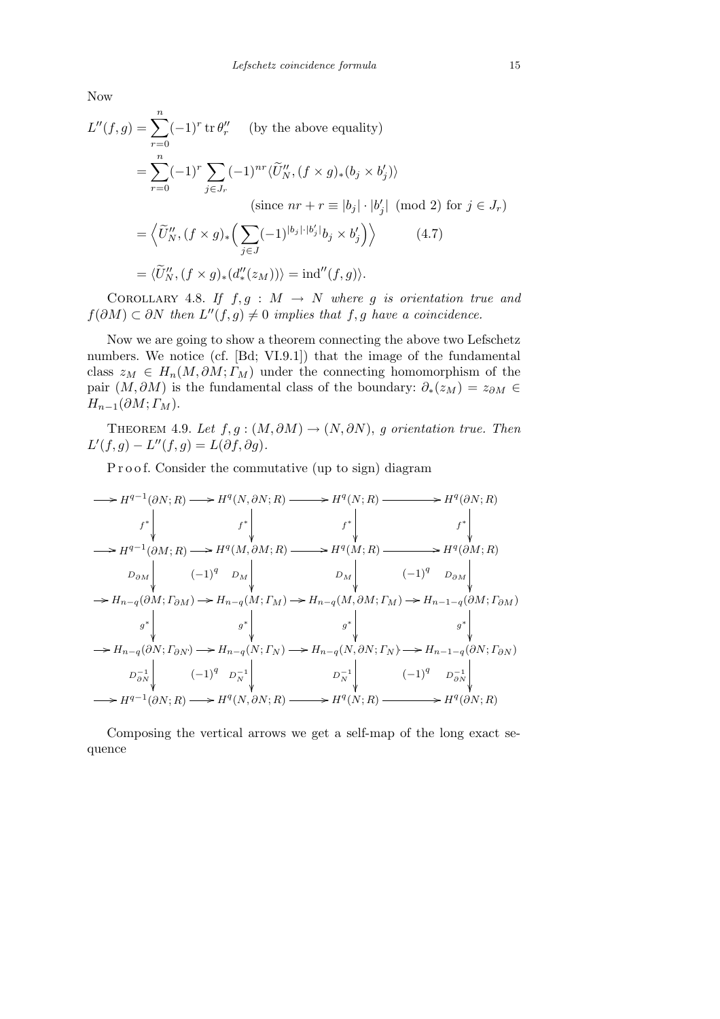Now

$$
L''(f,g) = \sum_{r=0}^{n} (-1)^r \operatorname{tr} \theta_r'' \quad \text{(by the above equality)}
$$
  
= 
$$
\sum_{r=0}^{n} (-1)^r \sum_{j \in J_r} (-1)^{nr} \langle \widetilde{U}_N'', (f \times g)_*(b_j \times b_j') \rangle
$$
  
(since  $nr + r \equiv |b_j| \cdot |b_j'| \pmod{2}$  for  $j \in J_r$ )  
= 
$$
\langle \widetilde{U}_N'', (f \times g)_* \Big( \sum_{j \in J} (-1)^{|b_j| \cdot |b_j'|} b_j \times b_j' \Big) \rangle \qquad (4.7)
$$
  
= 
$$
\langle \widetilde{U}_N'', (f \times g)_*(d''_*(z_M)) \rangle = \operatorname{ind}''(f, g) \rangle.
$$

COROLLARY 4.8. If  $f, g : M \rightarrow N$  where g is orientation true and *f*( $\partial M$ ) ⊂  $\partial N$  *then*  $L''(f, g) \neq 0$  *implies that f, g have a coincidence.* 

Now we are going to show a theorem connecting the above two Lefschetz numbers. We notice (cf. [Bd; VI.9.1]) that the image of the fundamental class  $z_M \in H_n(M, \partial M; \Gamma_M)$  under the connecting homomorphism of the pair  $(M, \partial M)$  is the fundamental class of the boundary:  $\partial_*(z_M) = z_{\partial M} \in$  $H_{n-1}(\partial M; \Gamma_M)$ .

THEOREM 4.9. *Let*  $f, g : (M, \partial M) \rightarrow (N, \partial N)$ , *g* orientation true. Then  $L'(f,g) - L''(f,g) = L(\partial f, \partial g).$ 

Proof. Consider the commutative (up to sign) diagram

$$
\begin{CD} \longrightarrow H^{q-1}(\partial N; R) \longrightarrow H^{q}(N, \partial N; R) \longrightarrow H^{q}(N; R) \longrightarrow H^{q}(\partial N; R) \\ f^* \downarrow \qquad & f^* \downarrow \qquad & f^* \downarrow \qquad & f^* \downarrow \qquad & f^* \downarrow \qquad & f^* \downarrow \qquad & f^* \downarrow \qquad & f^* \downarrow \qquad & f^* \downarrow \qquad & f^* \downarrow \qquad & f^* \downarrow \qquad & f^* \downarrow \qquad & f^* \downarrow \qquad & f^* \downarrow \qquad & f^* \downarrow \qquad & f^* \downarrow \qquad & f^* \downarrow \qquad & f^* \downarrow \qquad & f^* \downarrow \qquad & f^* \downarrow \qquad & f^* \downarrow \qquad & f^* \downarrow \qquad & f^* \downarrow \qquad & f^* \downarrow \qquad & f^* \downarrow \qquad & f^* \downarrow \qquad & f^* \downarrow \qquad & f^* \downarrow \qquad & f^* \downarrow \qquad & f^* \downarrow \qquad & f^* \downarrow \qquad & f^* \downarrow \qquad & f^* \downarrow \qquad & f^* \downarrow \qquad & f^* \downarrow \qquad & f^* \downarrow \qquad & f^* \downarrow \qquad & f^* \downarrow \qquad & f^* \downarrow \qquad & f^* \downarrow \qquad & f^* \downarrow \qquad & f^* \downarrow \qquad & f^* \downarrow \qquad & f^* \downarrow \qquad & f^* \downarrow \qquad & f^* \downarrow \qquad & f^* \downarrow \qquad & f^* \downarrow \qquad & f^* \downarrow \qquad & f^* \downarrow \qquad & f^* \downarrow \qquad & f^* \downarrow \qquad & f^* \downarrow \qquad & f^* \downarrow \qquad & f^* \downarrow \qquad & f^* \downarrow \qquad & f^* \downarrow \qquad & f^* \downarrow \qquad & f^* \downarrow \qquad & f^* \downarrow \qquad & f^* \downarrow \qquad & f^* \downarrow \qquad & f^* \downarrow \qquad & f^* \downarrow \qquad & f^* \downarrow \qquad & f^* \downarrow \qquad & f^* \downarrow \qquad & f^* \downarrow \qquad & f^* \downarrow \qquad & f^* \downarrow \qquad & f^* \
$$

Composing the vertical arrows we get a self-map of the long exact sequence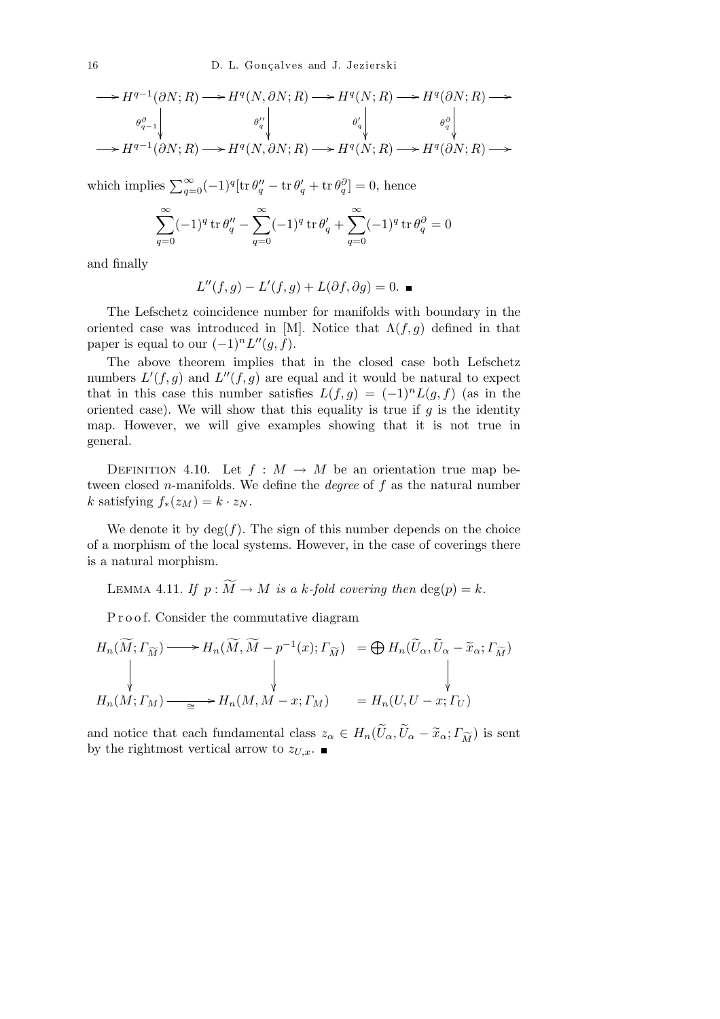$$
\longrightarrow H^{q-1}(\partial N; R) \longrightarrow H^q(N, \partial N; R) \longrightarrow H^q(N; R) \longrightarrow H^q(\partial N; R) \longrightarrow
$$
  

$$
\xrightarrow{\theta_{q-1}^{\partial}} \begin{bmatrix} \theta_q^{\prime\prime} & \theta_q^{\prime} \\ \theta_q^{\prime\prime} & \theta_q^{\prime} \\ \theta_q^{\prime\prime} & \theta_q^{\prime\prime} \\ \theta_q^{\prime\prime} & \theta_q^{\prime\prime} \end{bmatrix} \longrightarrow H^{q-1}(\partial N; R) \longrightarrow H^q(N, \partial N; R) \longrightarrow
$$

which implies  $\sum_{q=0}^{\infty} (-1)^q [\text{tr } \theta_q'' - \text{tr } \theta_q' + \text{tr } \theta_q^{\partial}] = 0$ , hence

$$
\sum_{q=0}^{\infty} (-1)^q \operatorname{tr} \theta_q'' - \sum_{q=0}^{\infty} (-1)^q \operatorname{tr} \theta_q' + \sum_{q=0}^{\infty} (-1)^q \operatorname{tr} \theta_q^{\partial} = 0
$$

and finally

$$
L''(f,g) - L'(f,g) + L(\partial f, \partial g) = 0.
$$

The Lefschetz coincidence number for manifolds with boundary in the oriented case was introduced in [M]. Notice that  $\Lambda(f,g)$  defined in that paper is equal to our  $(-1)^n L''(g, f)$ .

The above theorem implies that in the closed case both Lefschetz numbers  $L'(f,g)$  and  $L''(f,g)$  are equal and it would be natural to expect that in this case this number satisfies  $L(f,g) = (-1)^n L(g,f)$  (as in the oriented case). We will show that this equality is true if  $g$  is the identity map. However, we will give examples showing that it is not true in general.

DEFINITION 4.10. Let  $f : M \to M$  be an orientation true map between closed *n*-manifolds. We define the *degree* of *f* as the natural number  $k$  satisfying  $f_*(z_M) = k \cdot z_N$ .

We denote it by  $deg(f)$ . The sign of this number depends on the choice of a morphism of the local systems. However, in the case of coverings there is a natural morphism.

LEMMA 4.11. *If*  $p : \widetilde{M} \to M$  *is a k-fold covering then* deg(*p*) = *k*.

P r o o f. Consider the commutative diagram

$$
H_n(\widetilde{M}; \Gamma_{\widetilde{M}}) \longrightarrow H_n(\widetilde{M}, \widetilde{M} - p^{-1}(x); \Gamma_{\widetilde{M}}) = \bigoplus H_n(\widetilde{U}_{\alpha}, \widetilde{U}_{\alpha} - \widetilde{x}_{\alpha}; \Gamma_{\widetilde{M}})
$$
\n
$$
\downarrow \qquad \qquad \downarrow
$$
\n
$$
H_n(M; \Gamma_M) \longrightarrow H_n(M, M - x; \Gamma_M) = H_n(U, U - x; \Gamma_U)
$$

and notice that each fundamental class  $z_{\alpha} \in H_n(\widetilde{U}_{\alpha}, \widetilde{U}_{\alpha} - \widetilde{x}_{\alpha}; \Gamma_{\widetilde{M}})$  is sent by the rightmost vertical arrow to  $z_{U,x}$ .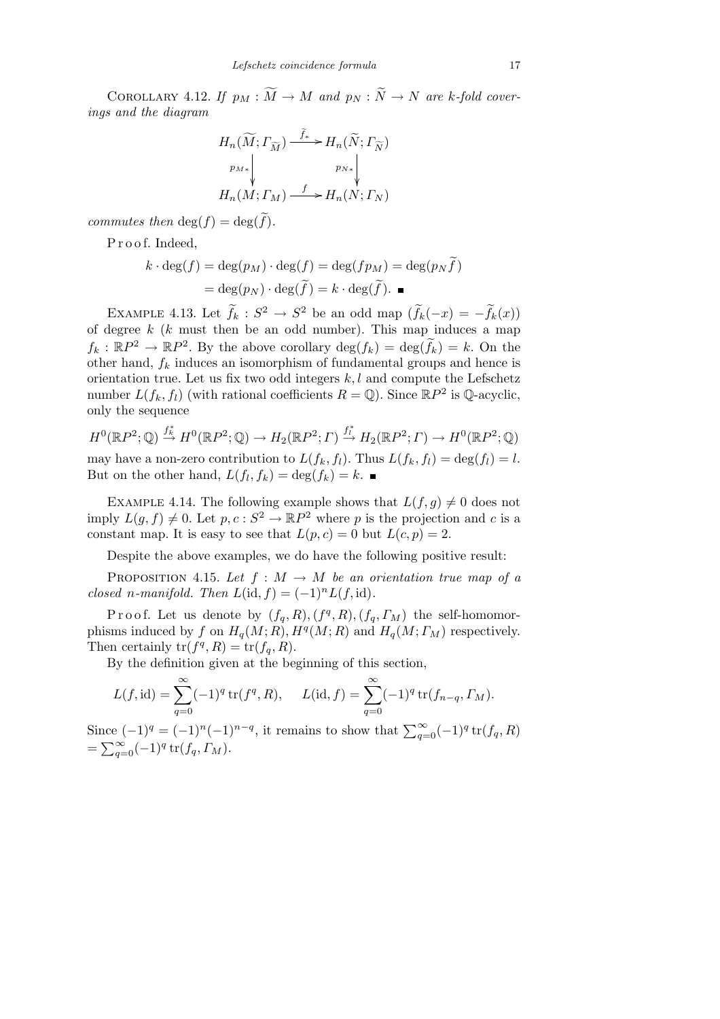COROLLARY 4.12. *If*  $p_M : \widetilde{M} \to M$  and  $p_N : \widetilde{N} \to N$  are *k*-fold cover*ings and the diagram*

$$
H_n(\widetilde{M}; \Gamma_{\widetilde{M}}) \xrightarrow{\widetilde{f}_*} H_n(\widetilde{N}; \Gamma_{\widetilde{N}})
$$
\n
$$
\downarrow p_{M*} \downarrow \qquad p_{N*} \downarrow \downarrow
$$
\n
$$
H_n(M; \Gamma_M) \xrightarrow{f} H_n(N; \Gamma_N)
$$

*commutes then*  $\deg(f) = \deg(\widetilde{f})$ *.* 

Proof. Indeed,

$$
k \cdot \deg(f) = \deg(p_M) \cdot \deg(f) = \deg(f p_M) = \deg(p_N \widetilde{f})
$$

$$
= \deg(p_N) \cdot \deg(\widetilde{f}) = k \cdot \deg(\widetilde{f}).
$$

EXAMPLE 4.13. Let  $\tilde{f}_k$  :  $S^2 \to S^2$  be an odd map  $(\tilde{f}_k(-x) = -\tilde{f}_k(x))$ of degree  $k$  ( $k$  must then be an odd number). This map induces a map  $f_k : \mathbb{R}P^2 \to \mathbb{R}P^2$ . By the above corollary  $\deg(f_k) = \deg(\widetilde{f}_k) = k$ . On the other hand,  $f_k$  induces an isomorphism of fundamental groups and hence is orientation true. Let us fix two odd integers *k, l* and compute the Lefschetz number  $L(f_k, f_l)$  (with rational coefficients  $R = \mathbb{Q}$ ). Since  $\mathbb{R}P^2$  is  $\mathbb{Q}$ -acyclic, only the sequence

$$
H^0(\mathbb{R}P^2;\mathbb{Q}) \stackrel{f^*_{\mathbb{R}}}{\to} H^0(\mathbb{R}P^2;\mathbb{Q}) \to H_2(\mathbb{R}P^2;\Gamma) \stackrel{f^*_{\mathbb{L}}}{\to} H_2(\mathbb{R}P^2;\Gamma) \to H^0(\mathbb{R}P^2;\mathbb{Q})
$$

may have a non-zero contribution to  $L(f_k, f_l)$ . Thus  $L(f_k, f_l) = \deg(f_l) = l$ . But on the other hand,  $L(f_l, f_k) = \deg(f_k) = k$ .

EXAMPLE 4.14. The following example shows that  $L(f, g) \neq 0$  does not imply  $L(g, f) \neq 0$ . Let  $p, c: S^2 \to \mathbb{R}P^2$  where p is the projection and c is a constant map. It is easy to see that  $L(p, c) = 0$  but  $L(c, p) = 2$ .

Despite the above examples, we do have the following positive result:

PROPOSITION 4.15. Let  $f : M \to M$  be an orientation true map of a *closed n-manifold. Then*  $L(\text{id}, f) = (-1)^n L(f, \text{id})$ .

Proof. Let us denote by  $(f_q, R)$ ,  $(f^q, R)$ ,  $(f_q, \Gamma_M)$  the self-homomorphisms induced by *f* on  $H_q(M; R)$ ,  $H^q(M; R)$  and  $H_q(M; \Gamma_M)$  respectively. Then certainly  $tr(f^q, R) = tr(f_q, R)$ .

By the definition given at the beginning of this section,

$$
L(f, id) = \sum_{q=0}^{\infty} (-1)^q \operatorname{tr}(f^q, R), \quad L(id, f) = \sum_{q=0}^{\infty} (-1)^q \operatorname{tr}(f_{n-q}, \Gamma_M).
$$

Since  $(-1)^q = (-1)^n (-1)^{n-q}$ , it remains to show that  $\sum_{q=0}^{\infty} (-1)^q \text{tr}(f_q, R)$  $=\sum_{q=0}^{\infty}(-1)^{q}$  tr(*f*<sub>q</sub>*, ΓM*).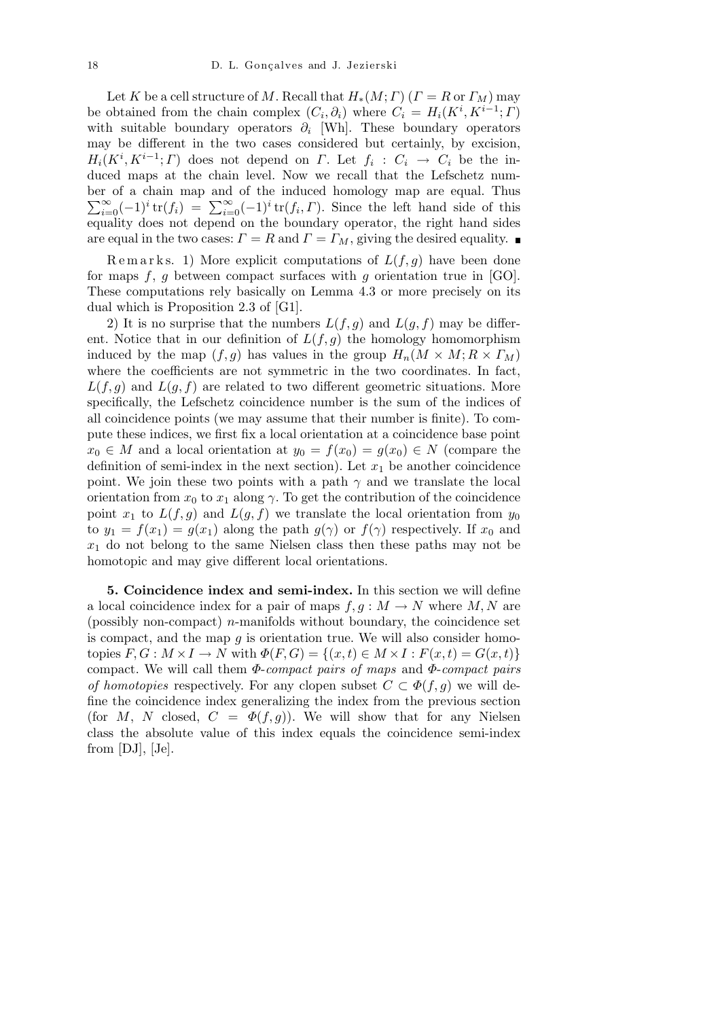Let *K* be a cell structure of *M*. Recall that  $H_*(M; \Gamma)$  ( $\Gamma = R$  or  $\Gamma_M$ ) may be obtained from the chain complex  $(C_i, \partial_i)$  where  $C_i = H_i(K^i, K^{i-1}; \Gamma)$ with suitable boundary operators *∂<sup>i</sup>* [Wh]. These boundary operators may be different in the two cases considered but certainly, by excision,  $H_i(K^i, K^{i-1}; \Gamma)$  does not depend on *Γ*. Let  $f_i: C_i \to C_i$  be the induced maps at the chain level. Now we recall that the Lefschetz number of a chain map and of the induced homology map are equal. Thus  $\sum_{i=0}^{\infty} (-1)^i \text{tr}(f_i) = \sum_{i=0}^{\infty} (-1)^i \text{tr}(f_i, \Gamma)$ . Since the left hand side of this equality does not depend on the boundary operator, the right hand sides are equal in the two cases:  $\Gamma = R$  and  $\Gamma = \Gamma_M$ , giving the desired equality.

Remarks. 1) More explicit computations of  $L(f, g)$  have been done for maps *f*, *g* between compact surfaces with *g* orientation true in [GO]. These computations rely basically on Lemma 4.3 or more precisely on its dual which is Proposition 2.3 of [G1].

2) It is no surprise that the numbers  $L(f, g)$  and  $L(g, f)$  may be different. Notice that in our definition of  $L(f, g)$  the homology homomorphism induced by the map  $(f, g)$  has values in the group  $H_n(M \times M; R \times \Gamma_M)$ where the coefficients are not symmetric in the two coordinates. In fact,  $L(f, g)$  and  $L(g, f)$  are related to two different geometric situations. More specifically, the Lefschetz coincidence number is the sum of the indices of all coincidence points (we may assume that their number is finite). To compute these indices, we first fix a local orientation at a coincidence base point *x*<sup>0</sup> ∈ *M* and a local orientation at  $y_0 = f(x_0) = g(x_0)$  ∈ *N* (compare the definition of semi-index in the next section). Let  $x_1$  be another coincidence point. We join these two points with a path  $\gamma$  and we translate the local orientation from  $x_0$  to  $x_1$  along  $\gamma$ . To get the contribution of the coincidence point  $x_1$  to  $L(f, g)$  and  $L(g, f)$  we translate the local orientation from  $y_0$ to  $y_1 = f(x_1) = g(x_1)$  along the path  $g(\gamma)$  or  $f(\gamma)$  respectively. If  $x_0$  and *x*<sup>1</sup> do not belong to the same Nielsen class then these paths may not be homotopic and may give different local orientations.

**5. Coincidence index and semi-index.** In this section we will define a local coincidence index for a pair of maps  $f, g : M \to N$  where  $M, N$  are (possibly non-compact) *n*-manifolds without boundary, the coincidence set is compact, and the map *g* is orientation true. We will also consider homotopies  $F, G: M \times I \to N$  with  $\Phi(F, G) = \{(x, t) \in M \times I : F(x, t) = G(x, t)\}$ compact. We will call them *Φ*-*compact pairs of maps* and *Φ*-*compact pairs of homotopies* respectively. For any clopen subset  $C \subset \Phi(f, g)$  we will define the coincidence index generalizing the index from the previous section (for *M*, *N* closed,  $C = \Phi(f, g)$ ). We will show that for any Nielsen class the absolute value of this index equals the coincidence semi-index from [DJ], [Je].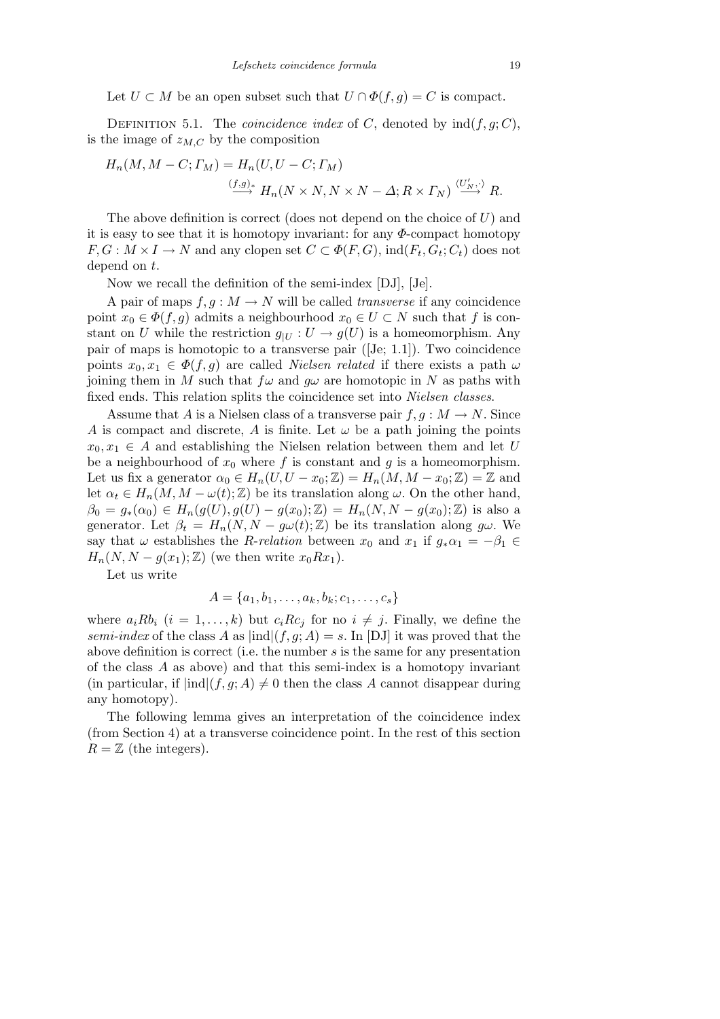Let *U* ⊂ *M* be an open subset such that  $U \cap \Phi(f, g) = C$  is compact.

DEFINITION 5.1. The *coincidence index* of *C*, denoted by  $\text{ind}(f, g; C)$ , is the image of  $z_{M,C}$  by the composition

$$
H_n(M, M - C; \Gamma_M) = H_n(U, U - C; \Gamma_M)
$$
  

$$
\xrightarrow{(f,g)_*} H_n(N \times N, N \times N - \Delta; R \times \Gamma_N) \xrightarrow{\langle U'_N, \cdot \rangle} R.
$$

The above definition is correct (does not depend on the choice of *U*) and it is easy to see that it is homotopy invariant: for any *Φ*-compact homotopy  $F, G: M \times I \to N$  and any clopen set  $C \subset \Phi(F, G)$ , ind $(F_t, G_t; C_t)$  does not depend on *t*.

Now we recall the definition of the semi-index [DJ], [Je].

A pair of maps  $f, g: M \to N$  will be called *transverse* if any coincidence point  $x_0 \in \Phi(f, g)$  admits a neighbourhood  $x_0 \in U \subset N$  such that *f* is constant on *U* while the restriction  $g_{|U}: U \to g(U)$  is a homeomorphism. Any pair of maps is homotopic to a transverse pair ([Je; 1.1]). Two coincidence points  $x_0, x_1 \in \Phi(f, g)$  are called *Nielsen related* if there exists a path  $\omega$ joining them in *M* such that  $f\omega$  and  $g\omega$  are homotopic in *N* as paths with fixed ends. This relation splits the coincidence set into *Nielsen classes*.

Assume that *A* is a Nielsen class of a transverse pair  $f, g: M \to N$ . Since *A* is compact and discrete, *A* is finite. Let  $\omega$  be a path joining the points  $x_0, x_1 \in A$  and establishing the Nielsen relation between them and let *U* be a neighbourhood of  $x_0$  where  $f$  is constant and  $g$  is a homeomorphism. Let us fix a generator  $\alpha_0 \in H_n(U, U - x_0; \mathbb{Z}) = H_n(M, M - x_0; \mathbb{Z}) = \mathbb{Z}$  and let  $\alpha_t \in H_n(M, M - \omega(t); \mathbb{Z})$  be its translation along  $\omega$ . On the other hand,  $\beta_0 = g_*(\alpha_0) \in H_n(g(U), g(U) - g(x_0); \mathbb{Z}) = H_n(N, N - g(x_0); \mathbb{Z})$  is also a generator. Let  $\beta_t = H_n(N, N - g\omega(t); \mathbb{Z})$  be its translation along  $g\omega$ . We say that  $\omega$  establishes the *R*-*relation* between  $x_0$  and  $x_1$  if  $g_*\alpha_1 = -\beta_1 \in$  $H_n(N, N-g(x_1); \mathbb{Z})$  (we then write  $x_0Rx_1$ ).

Let us write

$$
A = \{a_1, b_1, \dots, a_k, b_k; c_1, \dots, c_s\}
$$

where  $a_i R b_i$   $(i = 1, \ldots, k)$  but  $c_i R c_j$  for no  $i \neq j$ . Finally, we define the *semi-index* of the class *A* as  $|ind|(f, g; A) = s$ . In [DJ] it was proved that the above definition is correct (i.e. the number *s* is the same for any presentation of the class *A* as above) and that this semi-index is a homotopy invariant (in particular, if  $|ind|(f, g; A) \neq 0$  then the class *A* cannot disappear during any homotopy).

The following lemma gives an interpretation of the coincidence index (from Section 4) at a transverse coincidence point. In the rest of this section  $R = \mathbb{Z}$  (the integers).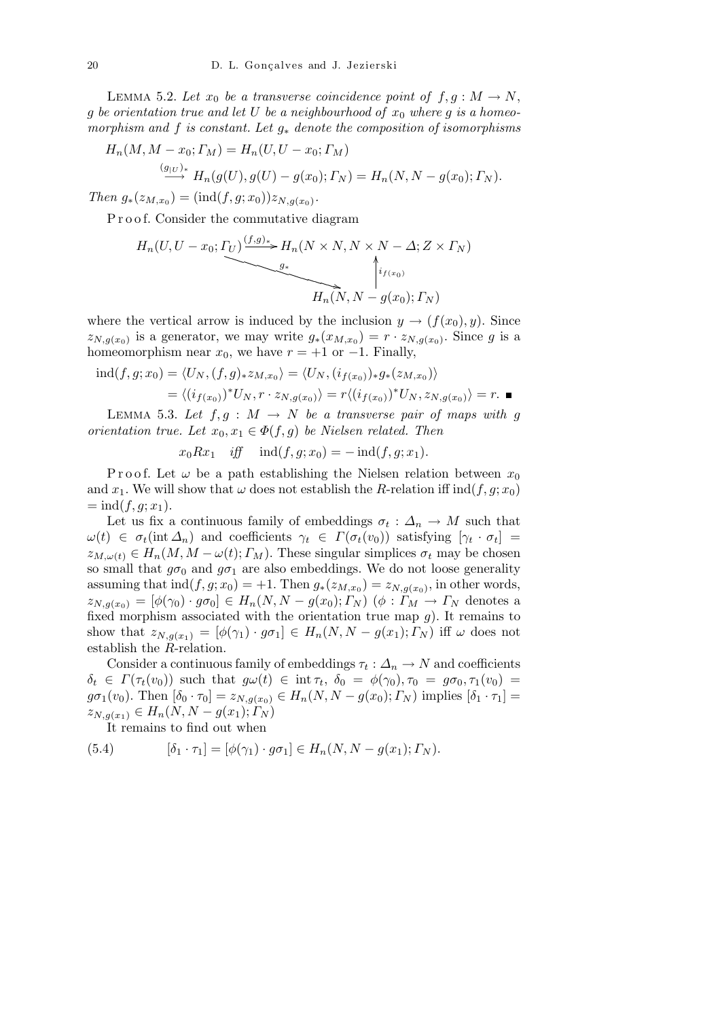LEMMA 5.2. Let  $x_0$  be a transverse coincidence point of  $f, g: M \to N$ , *g be orientation true and let U be a neighbourhood of x*<sup>0</sup> *where g is a homeomorphism and f is constant. Let g<sup>∗</sup> denote the composition of isomorphisms*

$$
H_n(M, M - x_0; \Gamma_M) = H_n(U, U - x_0; \Gamma_M)
$$

$$
\stackrel{g|U\rightarrow\ast}{\longrightarrow} H_n(g(U),g(U)-g(x_0); \Gamma_N) = H_n(N, N-g(x_0); \Gamma_N).
$$

*Then*  $g_*(z_{M,x_0}) = (\text{ind}(f,g;x_0))z_{N,g(x_0)}$ .

P r o o f. Consider the commutative diagram

$$
H_n(U, U - x_0; \underline{\Gamma_U}) \underbrace{\xrightarrow{f,g)_*} H_n(N \times N, N \times N - \Delta; Z \times \Gamma_N)}_{g_*} \uparrow_{f(x_0)}^{i_{f(x_0)}}
$$
\n
$$
H_n(N, N - g(x_0); \Gamma_N)
$$

where the vertical arrow is induced by the inclusion  $y \to (f(x_0), y)$ . Since  $z_{N,g(x_0)}$  is a generator, we may write  $g_*(x_{M,x_0}) = r \cdot z_{N,g(x_0)}$ . Since *g* is a homeomorphism near  $x_0$ , we have  $r = +1$  or  $-1$ . Finally,

$$
\text{ind}(f, g; x_0) = \langle U_N, (f, g)_* z_{M, x_0} \rangle = \langle U_N, (i_{f(x_0)})_* g_* (z_{M, x_0}) \rangle
$$

$$
= \langle (i_{f(x_0)})^* U_N, r \cdot z_{N, g(x_0)} \rangle = r \langle (i_{f(x_0)})^* U_N, z_{N, g(x_0)} \rangle = r. \blacksquare
$$

LEMMA 5.3. Let  $f, g: M \to N$  be a transverse pair of maps with g *orientation true. Let*  $x_0, x_1 \in \Phi(f, g)$  *be Nielsen related. Then* 

$$
x_0 R x_1 \quad \text{iff} \quad \text{ind}(f, g; x_0) = -\text{ind}(f, g; x_1).
$$

P r o o f. Let  $\omega$  be a path establishing the Nielsen relation between  $x_0$ and *x*<sub>1</sub>. We will show that  $\omega$  does not establish the *R*-relation iff ind(*f, g*; *x*<sub>0</sub>)  $=$  ind(*f, g*; *x*<sub>1</sub>).

Let us fix a continuous family of embeddings  $\sigma_t : \Delta_n \to M$  such that  $\omega(t) \in \sigma_t(\text{int } \Delta_n)$  and coefficients  $\gamma_t \in \Gamma(\sigma_t(v_0))$  satisfying  $[\gamma_t \cdot \sigma_t] =$  $z_{M,\omega(t)} \in H_n(M, M - \omega(t); T_M)$ . These singular simplices  $\sigma_t$  may be chosen so small that  $g\sigma_0$  and  $g\sigma_1$  are also embeddings. We do not loose generality assuming that  $\text{ind}(f, g; x_0) = +1$ . Then  $g_*(z_{M,x_0}) = z_{N,g(x_0)}$ , in other words,  $z_{N,q(x_0)} = [\phi(\gamma_0) \cdot g\sigma_0] \in H_n(N, N - g(x_0); \Gamma_N)$   $(\phi : \Gamma_M \to \Gamma_N$  denotes a fixed morphism associated with the orientation true map *g*). It remains to show that  $z_{N,q(x_1)} = [\phi(\gamma_1) \cdot g\sigma_1] \in H_n(N, N - g(x_1); \Gamma_N)$  iff  $\omega$  does not establish the *R*-relation.

Consider a continuous family of embeddings  $\tau_t : \Delta_n \to N$  and coefficients  $\delta_t \in \Gamma(\tau_t(v_0))$  such that  $g\omega(t) \in \text{int } \tau_t$ ,  $\delta_0 = \phi(\gamma_0), \tau_0 = g\sigma_0, \tau_1(v_0) =$  $g\sigma_1(v_0)$ . Then  $[\delta_0 \cdot \tau_0] = z_{N,g(x_0)} \in H_n(N, N - g(x_0); \Gamma_N)$  implies  $[\delta_1 \cdot \tau_1] =$  $z_{N,q(x_1)} \in H_n(N, N-g(x_1); T_N)$ 

It remains to find out when

(5.4) 
$$
[\delta_1 \cdot \tau_1] = [\phi(\gamma_1) \cdot g \sigma_1] \in H_n(N, N - g(x_1); \Gamma_N).
$$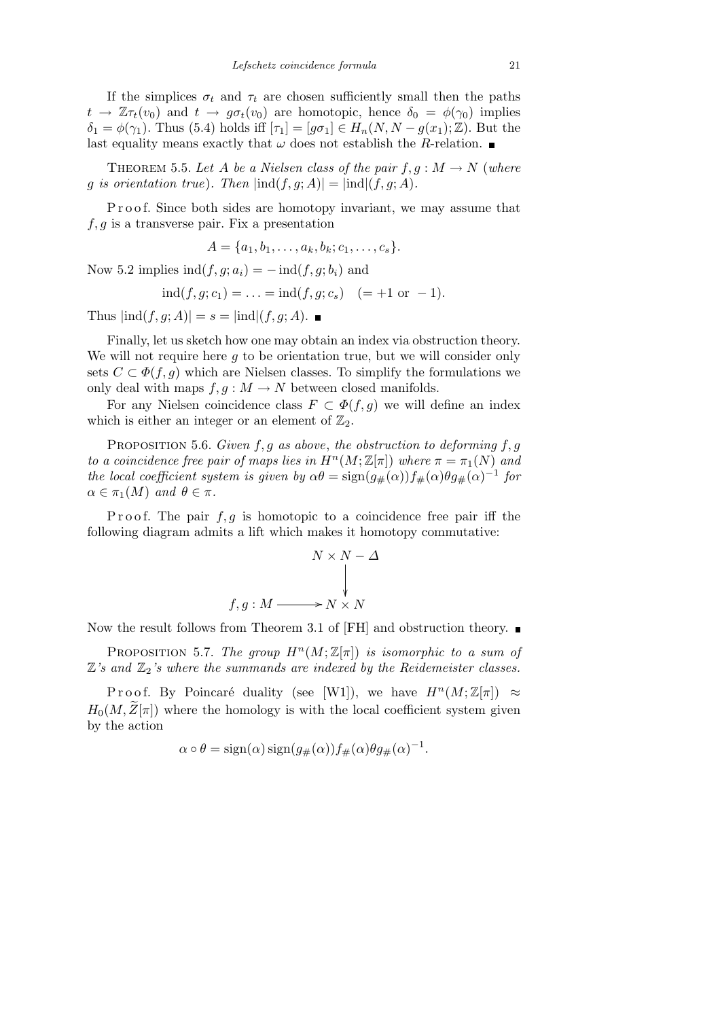If the simplices  $\sigma_t$  and  $\tau_t$  are chosen sufficiently small then the paths  $t \to \mathbb{Z}\tau_t(v_0)$  and  $t \to g\sigma_t(v_0)$  are homotopic, hence  $\delta_0 = \phi(\gamma_0)$  implies  $\delta_1 = \phi(\gamma_1)$ . Thus (5.4) holds iff  $[\tau_1] = [g\sigma_1] \in H_n(N, N - g(x_1); \mathbb{Z})$ . But the last equality means exactly that  $\omega$  does not establish the *R*-relation.

THEOREM 5.5. Let *A* be a Nielsen class of the pair  $f, g: M \to N$  (where *g is orientation true*)*. Then*  $|\text{ind}(f, g; A)| = |\text{ind}|(f, g; A)$ *.* 

Proof. Since both sides are homotopy invariant, we may assume that *f, g* is a transverse pair. Fix a presentation

$$
A = \{a_1, b_1, \ldots, a_k, b_k; c_1, \ldots, c_s\}.
$$

Now 5.2 implies  $\text{ind}(f, g; a_i) = -\text{ind}(f, g; b_i)$  and

$$
ind(f, g; c_1) = ... = ind(f, g; c_s) (= +1 \text{ or } -1).
$$

Thus  $|ind(f, q; A)| = s = |ind|(f, q; A)$ .

Finally, let us sketch how one may obtain an index via obstruction theory. We will not require here *g* to be orientation true, but we will consider only sets  $C \subset \Phi(f, g)$  which are Nielsen classes. To simplify the formulations we only deal with maps  $f, g: M \to N$  between closed manifolds.

For any Nielsen coincidence class  $F \subset \Phi(f, g)$  we will define an index which is either an integer or an element of  $\mathbb{Z}_2$ .

Proposition 5.6. *Given f, g as above*, *the obstruction to deforming f, g to a coincidence free pair of maps lies in*  $H^n(M;\mathbb{Z}[\pi])$  where  $\pi = \pi_1(N)$  and *the local coefficient system is given by*  $\alpha\theta = \text{sign}(g_{\#}(\alpha))f_{\#}(\alpha)\theta g_{\#}(\alpha)^{-1}$  for  $\alpha \in \pi_1(M)$  *and*  $\theta \in \pi$ *.* 

P roof. The pair  $f, g$  is homotopic to a coincidence free pair iff the following diagram admits a lift which makes it homotopy commutative:

$$
N \times N - \Delta
$$
  

$$
\downarrow
$$
  

$$
f, g: M \longrightarrow N \times N
$$

Now the result follows from Theorem 3.1 of [FH] and obstruction theory.  $\blacksquare$ 

PROPOSITION 5.7. *The group*  $H^n(M;\mathbb{Z}[\pi])$  *is isomorphic to a sum of*  $\mathbb{Z}$ 's and  $\mathbb{Z}_2$ 's where the summands are indexed by the Reidemeister classes.

Proof. By Poincaré duality (see [W1]), we have  $H^n(M;\mathbb{Z}[\pi]) \approx$  $H_0(M,\bar{Z}[\pi])$  where the homology is with the local coefficient system given by the action

$$
\alpha \circ \theta = \text{sign}(\alpha) \text{ sign}(g_{\#}(\alpha)) f_{\#}(\alpha) \theta g_{\#}(\alpha)^{-1}.
$$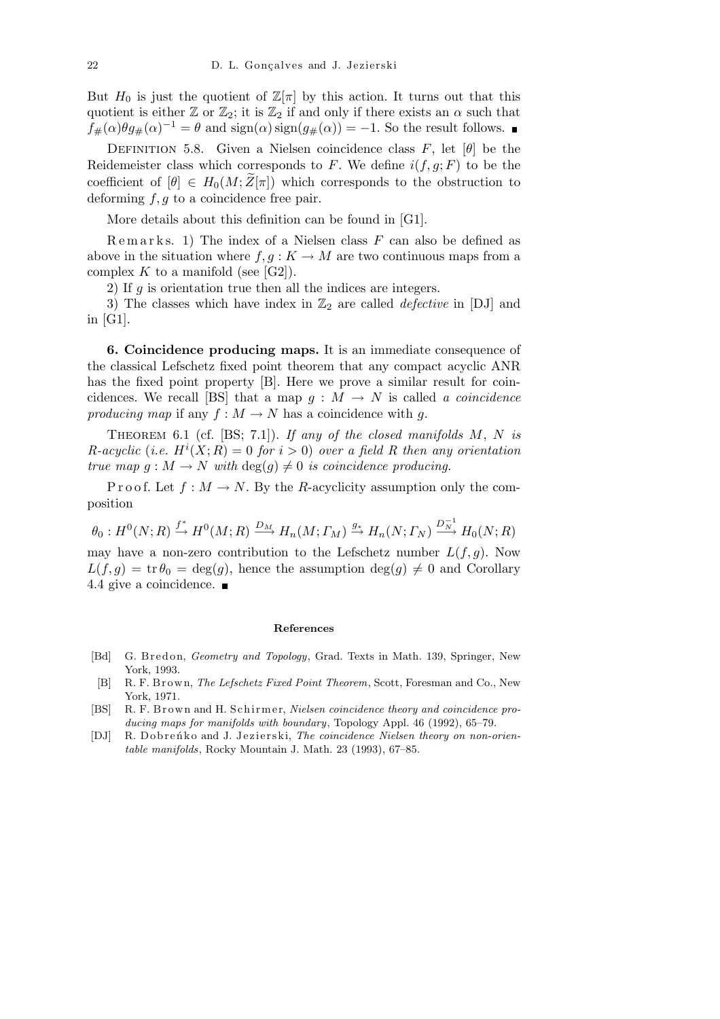But  $H_0$  is just the quotient of  $\mathbb{Z}[\pi]$  by this action. It turns out that this quotient is either  $\mathbb{Z}$  or  $\mathbb{Z}_2$ ; it is  $\mathbb{Z}_2$  if and only if there exists an  $\alpha$  such that  $f_{\#}(\alpha)\theta g_{\#}(\alpha)^{-1} = \theta$  and  $\text{sign}(\alpha)\text{sign}(g_{\#}(\alpha)) = -1$ . So the result follows.

DEFINITION 5.8. Given a Nielsen coincidence class  $F$ , let  $[\theta]$  be the Reidemeister class which corresponds to  $F$ . We define  $i(f, g; F)$  to be the coefficient of  $[\theta] \in H_0(M; Z[\pi])$  which corresponds to the obstruction to deforming *f, g* to a coincidence free pair.

More details about this definition can be found in [G1].

R e m a r k s. 1) The index of a Nielsen class *F* can also be defined as above in the situation where  $f, g: K \to M$  are two continuous maps from a complex  $K$  to a manifold (see [G2]).

2) If *g* is orientation true then all the indices are integers.

3) The classes which have index in  $\mathbb{Z}_2$  are called *defective* in [DJ] and in [G1].

**6. Coincidence producing maps.** It is an immediate consequence of the classical Lefschetz fixed point theorem that any compact acyclic ANR has the fixed point property [B]. Here we prove a similar result for coincidences. We recall [BS] that a map  $q : M \rightarrow N$  is called *a coincidence producing map* if any  $f : M \to N$  has a coincidence with q.

Theorem 6.1 (cf. [BS; 7.1]). *If any of the closed manifolds M*, *N is R*-acyclic (*i.e.*  $H^{i}(X; R) = 0$  *for*  $i > 0$ ) *over a field R then any orientation true map*  $g : M \to N$  *with*  $deg(g) \neq 0$  *is coincidence producing.* 

P r o o f. Let  $f : M \to N$ . By the *R*-acyclicity assumption only the composition

 $\theta_0: H^0(N;R) \stackrel{f^*}{\to} H^0(M;R) \stackrel{D_M}{\longrightarrow} H_n(M; \varGamma_M) \stackrel{g_*}{\to} H_n(N; \varGamma_N) \stackrel{D_M^{-1}}{\longrightarrow} H_0(N;R)$ may have a non-zero contribution to the Lefschetz number  $L(f, g)$ . Now  $L(f,g) = \text{tr} \theta_0 = \text{deg}(g)$ , hence the assumption  $\text{deg}(g) \neq 0$  and Corollary

4.4 give a coincidence.

## **References**

- [Bd] G. Bredon, *Geometry and Topology*, Grad. Texts in Math. 139, Springer, New York, 1993.
- [B] R. F. B r ow n, *The Lefschetz Fixed Point Theorem*, Scott, Foresman and Co., New York, 1971.
- [BS] R. F. Brown and H. Schirmer, *Nielsen coincidence theory and coincidence producing maps for manifolds with boundary*, Topology Appl. 46 (1992), 65–79.
- [DJ] R. Dobrenko and J. Jezierski, *The coincidence Nielsen theory on non-orientable manifolds*, Rocky Mountain J. Math. 23 (1993), 67–85.